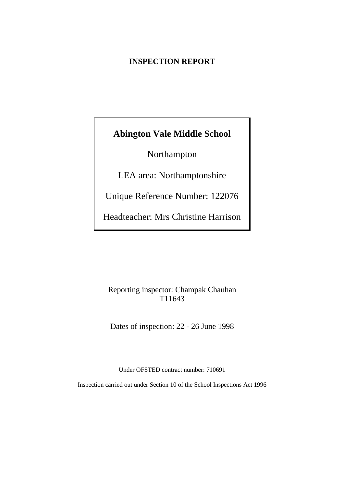# **INSPECTION REPORT**

# **Abington Vale Middle School**

Northampton

LEA area: Northamptonshire

Unique Reference Number: 122076

Headteacher: Mrs Christine Harrison

# Reporting inspector: Champak Chauhan T11643

Dates of inspection: 22 - 26 June 1998

Under OFSTED contract number: 710691

Inspection carried out under Section 10 of the School Inspections Act 1996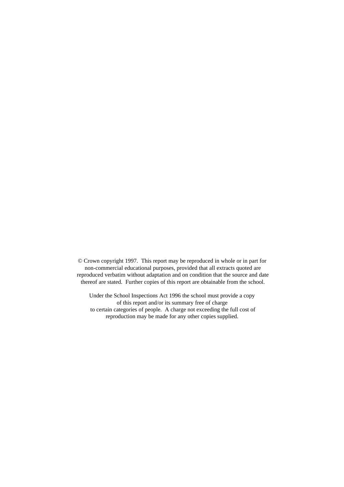© Crown copyright 1997. This report may be reproduced in whole or in part for non-commercial educational purposes, provided that all extracts quoted are reproduced verbatim without adaptation and on condition that the source and date thereof are stated. Further copies of this report are obtainable from the school.

Under the School Inspections Act 1996 the school must provide a copy of this report and/or its summary free of charge to certain categories of people. A charge not exceeding the full cost of reproduction may be made for any other copies supplied.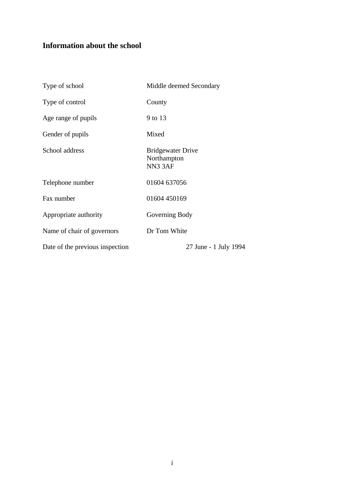# **Information about the school**

| Type of school                  | Middle deemed Secondary                                        |
|---------------------------------|----------------------------------------------------------------|
| Type of control                 | County                                                         |
| Age range of pupils             | 9 to 13                                                        |
| Gender of pupils                | Mixed                                                          |
| School address                  | <b>Bridgewater Drive</b><br>Northampton<br>NN <sub>3</sub> 3AF |
| Telephone number                | 01604 637056                                                   |
| Fax number                      | 01604 450169                                                   |
| Appropriate authority           | Governing Body                                                 |
| Name of chair of governors      | Dr Tom White                                                   |
| Date of the previous inspection | 27 June - 1 July 1994                                          |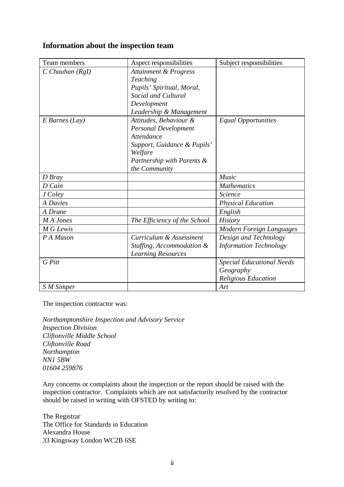# **Information about the inspection team**

| Team members          | Aspect responsibilities          | Subject responsibilities         |
|-----------------------|----------------------------------|----------------------------------|
| $C$ Chauhan ( $Rgl$ ) | <b>Attainment &amp; Progress</b> |                                  |
|                       | Teaching                         |                                  |
|                       | Pupils' Spiritual, Moral,        |                                  |
|                       | Social and Cultural              |                                  |
|                       | Development                      |                                  |
|                       | Leadership & Management          |                                  |
| $E$ Barnes (Lay)      | Attitudes, Behaviour &           | <b>Equal Opportunities</b>       |
|                       | <b>Personal Development</b>      |                                  |
|                       | Attendance                       |                                  |
|                       | Support, Guidance & Pupils'      |                                  |
|                       | Welfare                          |                                  |
|                       | Partnership with Parents &       |                                  |
|                       | the Community                    |                                  |
| D Bray                |                                  | Music                            |
| D Cain                |                                  | <b>Mathematics</b>               |
| J Coley               |                                  | Science                          |
| <b>A</b> Davies       |                                  | <b>Physical Education</b>        |
| A Drane               |                                  | English                          |
| M A Jones             | The Efficiency of the School     | <b>History</b>                   |
| M G Lewis             |                                  | Modern Foreign Languages         |
| P A Mason             | Curriculum & Assessment          | Design and Technology            |
|                       | Staffing, Accommodation &        | <b>Information Technology</b>    |
|                       | <b>Learning Resources</b>        |                                  |
| G Pitt                |                                  | <b>Special Educational Needs</b> |
|                       |                                  | Geography                        |
|                       |                                  | Religious Education              |
| S M Simper            |                                  | Art                              |

The inspection contractor was:

*Northamptonshire Inspection and Advisory Service Inspection Division Cliftonville Middle School Cliftonville Road Northampton NN1 5BW 01604 259876*

Any concerns or complaints about the inspection or the report should be raised with the inspection contractor. Complaints which are not satisfactorily resolved by the contractor should be raised in writing with OFSTED by writing to:

The Registrar The Office for Standards in Education Alexandra House 33 Kingsway London WC2B 6SE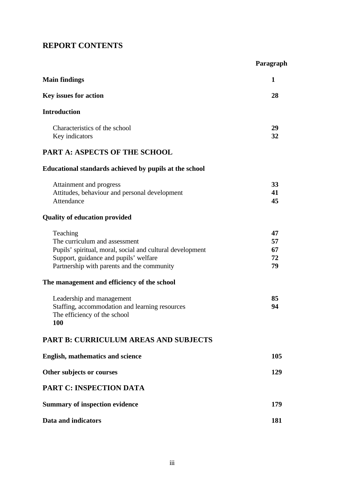# **REPORT CONTENTS**

|                                                                                                                                                                                               | Paragraph                  |
|-----------------------------------------------------------------------------------------------------------------------------------------------------------------------------------------------|----------------------------|
| <b>Main findings</b>                                                                                                                                                                          | 1                          |
| Key issues for action                                                                                                                                                                         | 28                         |
| <b>Introduction</b>                                                                                                                                                                           |                            |
| Characteristics of the school<br>Key indicators                                                                                                                                               | 29<br>32                   |
| <b>PART A: ASPECTS OF THE SCHOOL</b>                                                                                                                                                          |                            |
| Educational standards achieved by pupils at the school                                                                                                                                        |                            |
| Attainment and progress<br>Attitudes, behaviour and personal development<br>Attendance                                                                                                        | 33<br>41<br>45             |
| <b>Quality of education provided</b>                                                                                                                                                          |                            |
| Teaching<br>The curriculum and assessment<br>Pupils' spiritual, moral, social and cultural development<br>Support, guidance and pupils' welfare<br>Partnership with parents and the community | 47<br>57<br>67<br>72<br>79 |
| The management and efficiency of the school                                                                                                                                                   |                            |
| Leadership and management<br>Staffing, accommodation and learning resources<br>The efficiency of the school<br>100                                                                            | 85<br>94                   |
| <b>PART B: CURRICULUM AREAS AND SUBJECTS</b>                                                                                                                                                  |                            |
| <b>English, mathematics and science</b>                                                                                                                                                       | 105                        |
| Other subjects or courses                                                                                                                                                                     | 129                        |
| <b>PART C: INSPECTION DATA</b>                                                                                                                                                                |                            |
| <b>Summary of inspection evidence</b>                                                                                                                                                         | 179                        |
| Data and indicators                                                                                                                                                                           | 181                        |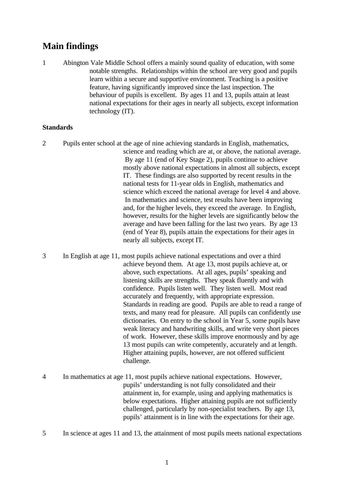# **Main findings**

1 Abington Vale Middle School offers a mainly sound quality of education, with some notable strengths. Relationships within the school are very good and pupils learn within a secure and supportive environment. Teaching is a positive feature, having significantly improved since the last inspection. The behaviour of pupils is excellent. By ages 11 and 13, pupils attain at least national expectations for their ages in nearly all subjects, except information technology (IT).

## **Standards**

- 2 Pupils enter school at the age of nine achieving standards in English, mathematics, science and reading which are at, or above, the national average. By age 11 (end of Key Stage 2), pupils continue to achieve mostly above national expectations in almost all subjects, except IT. These findings are also supported by recent results in the national tests for 11-year olds in English, mathematics and science which exceed the national average for level 4 and above. In mathematics and science, test results have been improving and, for the higher levels, they exceed the average. In English, however, results for the higher levels are significantly below the average and have been falling for the last two years. By age 13 (end of Year 8), pupils attain the expectations for their ages in nearly all subjects, except IT.
- 3 In English at age 11, most pupils achieve national expectations and over a third achieve beyond them. At age 13, most pupils achieve at, or above, such expectations. At all ages, pupils' speaking and listening skills are strengths. They speak fluently and with confidence. Pupils listen well. They listen well. Most read accurately and frequently, with appropriate expression. Standards in reading are good. Pupils are able to read a range of texts, and many read for pleasure. All pupils can confidently use dictionaries. On entry to the school in Year 5, some pupils have weak literacy and handwriting skills, and write very short pieces of work. However, these skills improve enormously and by age 13 most pupils can write competently, accurately and at length. Higher attaining pupils, however, are not offered sufficient challenge.
- 4 In mathematics at age 11, most pupils achieve national expectations. However, pupils' understanding is not fully consolidated and their attainment in, for example, using and applying mathematics is below expectations. Higher attaining pupils are not sufficiently challenged, particularly by non-specialist teachers. By age 13, pupils' attainment is in line with the expectations for their age.
- 5 In science at ages 11 and 13, the attainment of most pupils meets national expectations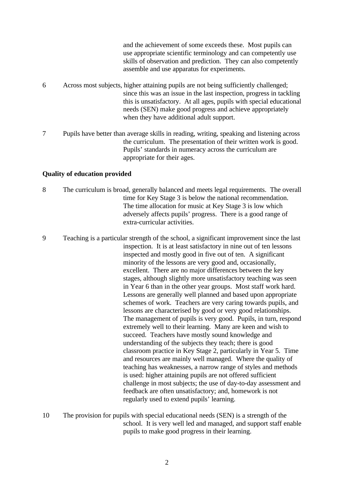|   | and the achievement of some exceeds these. Most pupils can<br>use appropriate scientific terminology and can competently use<br>skills of observation and prediction. They can also competently<br>assemble and use apparatus for experiments.                                                                                               |
|---|----------------------------------------------------------------------------------------------------------------------------------------------------------------------------------------------------------------------------------------------------------------------------------------------------------------------------------------------|
| 6 | Across most subjects, higher attaining pupils are not being sufficiently challenged;<br>since this was an issue in the last inspection, progress in tackling<br>this is unsatisfactory. At all ages, pupils with special educational<br>needs (SEN) make good progress and achieve appropriately<br>when they have additional adult support. |
|   | Pupils have better than average skills in reading, writing, speaking and listening across<br>the curriculum. The presentation of their written work is good.<br>Pupils' standards in numeracy across the curriculum are<br>appropriate for their ages.                                                                                       |

#### **Quality of education provided**

- 8 The curriculum is broad, generally balanced and meets legal requirements. The overall time for Key Stage 3 is below the national recommendation. The time allocation for music at Key Stage 3 is low which adversely affects pupils' progress. There is a good range of extra-curricular activities.
- 9 Teaching is a particular strength of the school, a significant improvement since the last inspection. It is at least satisfactory in nine out of ten lessons inspected and mostly good in five out of ten. A significant minority of the lessons are very good and, occasionally, excellent. There are no major differences between the key stages, although slightly more unsatisfactory teaching was seen in Year 6 than in the other year groups. Most staff work hard. Lessons are generally well planned and based upon appropriate schemes of work. Teachers are very caring towards pupils, and lessons are characterised by good or very good relationships. The management of pupils is very good. Pupils, in turn, respond extremely well to their learning. Many are keen and wish to succeed. Teachers have mostly sound knowledge and understanding of the subjects they teach; there is good classroom practice in Key Stage 2, particularly in Year 5. Time and resources are mainly well managed. Where the quality of teaching has weaknesses, a narrow range of styles and methods is used: higher attaining pupils are not offered sufficient challenge in most subjects; the use of day-to-day assessment and feedback are often unsatisfactory; and, homework is not regularly used to extend pupils' learning.
- 10 The provision for pupils with special educational needs (SEN) is a strength of the school. It is very well led and managed, and support staff enable pupils to make good progress in their learning.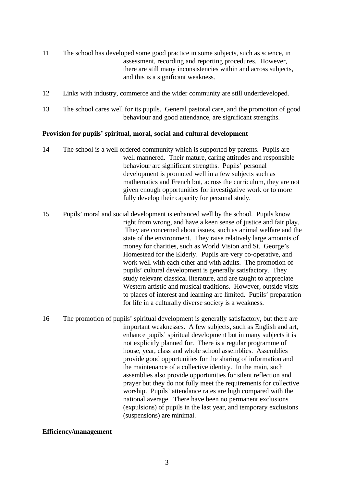- 11 The school has developed some good practice in some subjects, such as science, in assessment, recording and reporting procedures. However, there are still many inconsistencies within and across subjects, and this is a significant weakness.
- 12 Links with industry, commerce and the wider community are still underdeveloped.
- 13 The school cares well for its pupils. General pastoral care, and the promotion of good behaviour and good attendance, are significant strengths.

## **Provision for pupils' spiritual, moral, social and cultural development**

- 14 The school is a well ordered community which is supported by parents. Pupils are well mannered. Their mature, caring attitudes and responsible behaviour are significant strengths. Pupils' personal development is promoted well in a few subjects such as mathematics and French but, across the curriculum, they are not given enough opportunities for investigative work or to more fully develop their capacity for personal study.
- 15 Pupils' moral and social development is enhanced well by the school. Pupils know right from wrong, and have a keen sense of justice and fair play. They are concerned about issues, such as animal welfare and the state of the environment. They raise relatively large amounts of money for charities, such as World Vision and St. George's Homestead for the Elderly. Pupils are very co-operative, and work well with each other and with adults. The promotion of pupils' cultural development is generally satisfactory. They study relevant classical literature, and are taught to appreciate Western artistic and musical traditions. However, outside visits to places of interest and learning are limited. Pupils' preparation for life in a culturally diverse society is a weakness.
- 16 The promotion of pupils' spiritual development is generally satisfactory, but there are important weaknesses. A few subjects, such as English and art, enhance pupils' spiritual development but in many subjects it is not explicitly planned for. There is a regular programme of house, year, class and whole school assemblies. Assemblies provide good opportunities for the sharing of information and the maintenance of a collective identity. In the main, such assemblies also provide opportunities for silent reflection and prayer but they do not fully meet the requirements for collective worship. Pupils' attendance rates are high compared with the national average. There have been no permanent exclusions (expulsions) of pupils in the last year, and temporary exclusions (suspensions) are minimal.

#### **Efficiency/management**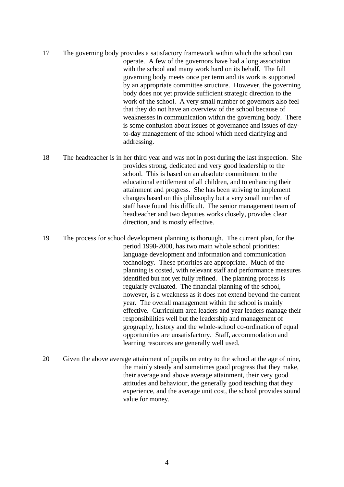- 17 The governing body provides a satisfactory framework within which the school can operate. A few of the governors have had a long association with the school and many work hard on its behalf. The full governing body meets once per term and its work is supported by an appropriate committee structure. However, the governing body does not yet provide sufficient strategic direction to the work of the school. A very small number of governors also feel that they do not have an overview of the school because of weaknesses in communication within the governing body. There is some confusion about issues of governance and issues of dayto-day management of the school which need clarifying and addressing.
- 18 The headteacher is in her third year and was not in post during the last inspection. She provides strong, dedicated and very good leadership to the school. This is based on an absolute commitment to the educational entitlement of all children, and to enhancing their attainment and progress. She has been striving to implement changes based on this philosophy but a very small number of staff have found this difficult. The senior management team of headteacher and two deputies works closely, provides clear direction, and is mostly effective.
- 19 The process for school development planning is thorough. The current plan, for the period 1998-2000, has two main whole school priorities: language development and information and communication technology. These priorities are appropriate. Much of the planning is costed, with relevant staff and performance measures identified but not yet fully refined. The planning process is regularly evaluated. The financial planning of the school, however, is a weakness as it does not extend beyond the current year. The overall management within the school is mainly effective. Curriculum area leaders and year leaders manage their responsibilities well but the leadership and management of geography, history and the whole-school co-ordination of equal opportunities are unsatisfactory. Staff, accommodation and learning resources are generally well used.
- 20 Given the above average attainment of pupils on entry to the school at the age of nine, the mainly steady and sometimes good progress that they make, their average and above average attainment, their very good attitudes and behaviour, the generally good teaching that they experience, and the average unit cost, the school provides sound value for money.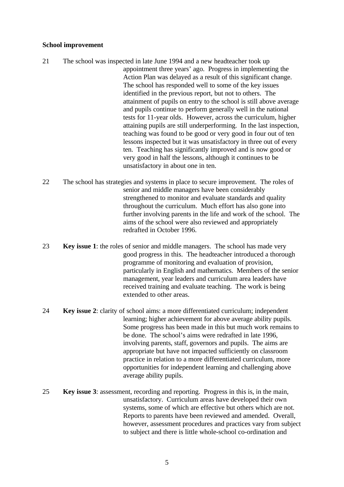#### **School improvement**

- 21 The school was inspected in late June 1994 and a new headteacher took up appointment three years' ago. Progress in implementing the Action Plan was delayed as a result of this significant change. The school has responded well to some of the key issues identified in the previous report, but not to others. The attainment of pupils on entry to the school is still above average and pupils continue to perform generally well in the national tests for 11-year olds. However, across the curriculum, higher attaining pupils are still underperforming. In the last inspection, teaching was found to be good or very good in four out of ten lessons inspected but it was unsatisfactory in three out of every ten. Teaching has significantly improved and is now good or very good in half the lessons, although it continues to be unsatisfactory in about one in ten.
- 22 The school has strategies and systems in place to secure improvement. The roles of senior and middle managers have been considerably strengthened to monitor and evaluate standards and quality throughout the curriculum. Much effort has also gone into further involving parents in the life and work of the school. The aims of the school were also reviewed and appropriately redrafted in October 1996.
- 23 **Key issue 1**: the roles of senior and middle managers. The school has made very good progress in this. The headteacher introduced a thorough programme of monitoring and evaluation of provision, particularly in English and mathematics. Members of the senior management, year leaders and curriculum area leaders have received training and evaluate teaching. The work is being extended to other areas.
- 24 **Key issue 2**: clarity of school aims: a more differentiated curriculum; independent learning; higher achievement for above average ability pupils. Some progress has been made in this but much work remains to be done. The school's aims were redrafted in late 1996, involving parents, staff, governors and pupils. The aims are appropriate but have not impacted sufficiently on classroom practice in relation to a more differentiated curriculum, more opportunities for independent learning and challenging above average ability pupils.
- 25 **Key issue 3**: assessment, recording and reporting. Progress in this is, in the main, unsatisfactory. Curriculum areas have developed their own systems, some of which are effective but others which are not. Reports to parents have been reviewed and amended. Overall, however, assessment procedures and practices vary from subject to subject and there is little whole-school co-ordination and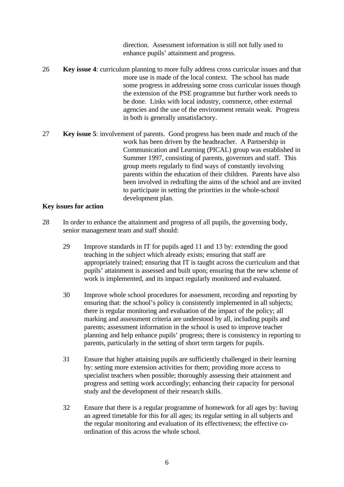direction. Assessment information is still not fully used to enhance pupils' attainment and progress.

- 26 **Key issue 4**: curriculum planning to more fully address cross curricular issues and that more use is made of the local context. The school has made some progress in addressing some cross curricular issues though the extension of the PSE programme but further work needs to be done. Links with local industry, commerce, other external agencies and the use of the environment remain weak. Progress in both is generally unsatisfactory.
- 27 **Key issue 5**: involvement of parents. Good progress has been made and much of the work has been driven by the headteacher. A Partnership in Communication and Learning (PICAL) group was established in Summer 1997, consisting of parents, governors and staff. This group meets regularly to find ways of constantly involving parents within the education of their children. Parents have also been involved in redrafting the aims of the school and are invited to participate in setting the priorities in the whole-school development plan.

#### **Key issues for action**

- 28 In order to enhance the attainment and progress of all pupils, the governing body, senior management team and staff should:
	- 29 Improve standards in IT for pupils aged 11 and 13 by: extending the good teaching in the subject which already exists; ensuring that staff are appropriately trained; ensuring that IT is taught across the curriculum and that pupils' attainment is assessed and built upon; ensuring that the new scheme of work is implemented, and its impact regularly monitored and evaluated.
	- 30 Improve whole school procedures for assessment, recording and reporting by ensuring that: the school's policy is consistently implemented in all subjects; there is regular monitoring and evaluation of the impact of the policy; all marking and assessment criteria are understood by all, including pupils and parents; assessment information in the school is used to improve teacher planning and help enhance pupils' progress; there is consistency in reporting to parents, particularly in the setting of short term targets for pupils.
	- 31 Ensure that higher attaining pupils are sufficiently challenged in their learning by: setting more extension activities for them; providing more access to specialist teachers when possible; thoroughly assessing their attainment and progress and setting work accordingly; enhancing their capacity for personal study and the development of their research skills.
	- 32 Ensure that there is a regular programme of homework for all ages by: having an agreed timetable for this for all ages; its regular setting in all subjects and the regular monitoring and evaluation of its effectiveness; the effective coordination of this across the whole school.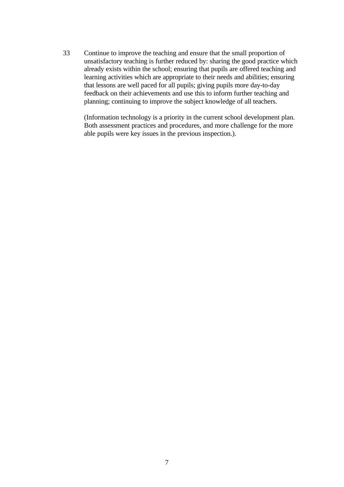33 Continue to improve the teaching and ensure that the small proportion of unsatisfactory teaching is further reduced by: sharing the good practice which already exists within the school; ensuring that pupils are offered teaching and learning activities which are appropriate to their needs and abilities; ensuring that lessons are well paced for all pupils; giving pupils more day-to-day feedback on their achievements and use this to inform further teaching and planning; continuing to improve the subject knowledge of all teachers.

(Information technology is a priority in the current school development plan. Both assessment practices and procedures, and more challenge for the more able pupils were key issues in the previous inspection.).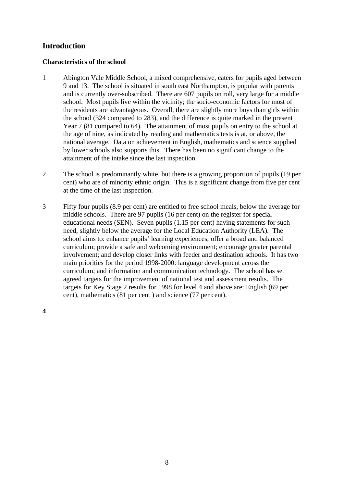# **Introduction**

## **Characteristics of the school**

- 1 Abington Vale Middle School, a mixed comprehensive, caters for pupils aged between 9 and 13. The school is situated in south east Northampton, is popular with parents and is currently over-subscribed. There are 607 pupils on roll, very large for a middle school. Most pupils live within the vicinity; the socio-economic factors for most of the residents are advantageous. Overall, there are slightly more boys than girls within the school (324 compared to 283), and the difference is quite marked in the present Year 7 (81 compared to 64). The attainment of most pupils on entry to the school at the age of nine, as indicated by reading and mathematics tests is at, or above, the national average. Data on achievement in English, mathematics and science supplied by lower schools also supports this. There has been no significant change to the attainment of the intake since the last inspection.
- 2 The school is predominantly white, but there is a growing proportion of pupils (19 per cent) who are of minority ethnic origin. This is a significant change from five per cent at the time of the last inspection.
- 3 Fifty four pupils (8.9 per cent) are entitled to free school meals, below the average for middle schools. There are 97 pupils (16 per cent) on the register for special educational needs (SEN). Seven pupils (1.15 per cent) having statements for such need, slightly below the average for the Local Education Authority (LEA). The school aims to: enhance pupils' learning experiences; offer a broad and balanced curriculum; provide a safe and welcoming environment; encourage greater parental involvement; and develop closer links with feeder and destination schools. It has two main priorities for the period 1998-2000: language development across the curriculum; and information and communication technology. The school has set agreed targets for the improvement of national test and assessment results. The targets for Key Stage 2 results for 1998 for level 4 and above are: English (69 per cent), mathematics (81 per cent ) and science (77 per cent).

**4**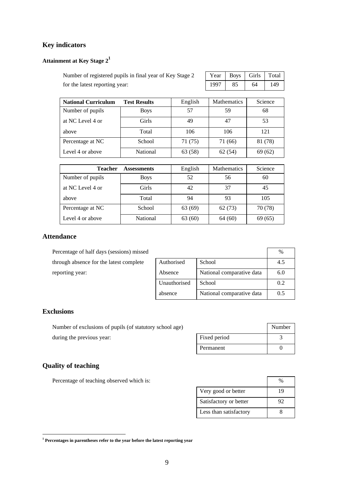# **Key indicators**

# **Attainment at Key Stage 2<sup>1</sup>**

| Number of registered pupils in final year of Key Stage 2 | Year   Boys   Girls   Total |  |  |
|----------------------------------------------------------|-----------------------------|--|--|
| for the latest reporting year:                           | 1997   85   64   149        |  |  |

| <b>National Curriculum</b> | <b>Test Results</b> | English | <b>Mathematics</b> | Science |
|----------------------------|---------------------|---------|--------------------|---------|
| Number of pupils           | <b>Boys</b>         | 57      | 59                 | 68      |
| at NC Level 4 or           | Girls               | 49      | 47                 | 53      |
| above                      | Total               | 106     | 106                | 121     |
| Percentage at NC           | School              | 71 (75) | 71 (66)            | 81 (78) |
| Level 4 or above           | National            | 63 (58) | 62(54)             | 69(62)  |

| <b>Teacher</b>   | <b>Assessments</b> | English | <b>Mathematics</b> | Science |
|------------------|--------------------|---------|--------------------|---------|
| Number of pupils | <b>Boys</b>        | 52      | 56                 | 60      |
| at NC Level 4 or | <b>Girls</b>       | 42      | 37                 | 45      |
| above            | Total              | 94      | 93                 | 105     |
| Percentage at NC | School             | 63 (69) | 62(73)             | 70 (78) |
| Level 4 or above | National           | 63(60)  | 64(60)             | 69 (65) |

#### **Attendance**

| Percentage of half days (sessions) missed |              |                           | $\%$ |
|-------------------------------------------|--------------|---------------------------|------|
| through absence for the latest complete   | Authorised   | School                    | 4.5  |
| reporting year:                           | Absence      | National comparative data | 6.0  |
|                                           | Unauthorised | School                    | 0.2  |
|                                           | absence      | National comparative data | 0.5  |

#### **Exclusions**

Number of exclusions of pupils (of statutory school age) during the previous year:

|              | Number |
|--------------|--------|
| Fixed period |        |
| Permanent    |        |

# **Quality of teaching**

Percentage of teaching observed which is:

| Very good or better    | 19 |
|------------------------|----|
| Satisfactory or better | 92 |
| Less than satisfactory |    |

 **1 Percentages in parentheses refer to the year before the latest reporting year**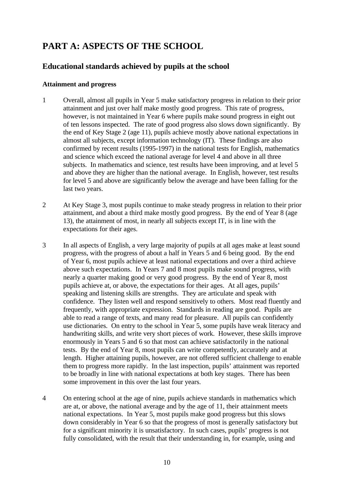# **PART A: ASPECTS OF THE SCHOOL**

# **Educational standards achieved by pupils at the school**

### **Attainment and progress**

- 1 Overall, almost all pupils in Year 5 make satisfactory progress in relation to their prior attainment and just over half make mostly good progress. This rate of progress, however, is not maintained in Year 6 where pupils make sound progress in eight out of ten lessons inspected. The rate of good progress also slows down significantly. By the end of Key Stage 2 (age 11), pupils achieve mostly above national expectations in almost all subjects, except information technology (IT). These findings are also confirmed by recent results (1995-1997) in the national tests for English, mathematics and science which exceed the national average for level 4 and above in all three subjects. In mathematics and science, test results have been improving, and at level 5 and above they are higher than the national average. In English, however, test results for level 5 and above are significantly below the average and have been falling for the last two years.
- 2 At Key Stage 3, most pupils continue to make steady progress in relation to their prior attainment, and about a third make mostly good progress. By the end of Year 8 (age 13), the attainment of most, in nearly all subjects except IT, is in line with the expectations for their ages.
- 3 In all aspects of English, a very large majority of pupils at all ages make at least sound progress, with the progress of about a half in Years 5 and 6 being good. By the end of Year 6, most pupils achieve at least national expectations and over a third achieve above such expectations. In Years 7 and 8 most pupils make sound progress, with nearly a quarter making good or very good progress. By the end of Year 8, most pupils achieve at, or above, the expectations for their ages. At all ages, pupils' speaking and listening skills are strengths. They are articulate and speak with confidence. They listen well and respond sensitively to others. Most read fluently and frequently, with appropriate expression. Standards in reading are good. Pupils are able to read a range of texts, and many read for pleasure. All pupils can confidently use dictionaries. On entry to the school in Year 5, some pupils have weak literacy and handwriting skills, and write very short pieces of work. However, these skills improve enormously in Years 5 and 6 so that most can achieve satisfactorily in the national tests. By the end of Year 8, most pupils can write competently, accurately and at length. Higher attaining pupils, however, are not offered sufficient challenge to enable them to progress more rapidly. In the last inspection, pupils' attainment was reported to be broadly in line with national expectations at both key stages. There has been some improvement in this over the last four years.
- 4 On entering school at the age of nine, pupils achieve standards in mathematics which are at, or above, the national average and by the age of 11, their attainment meets national expectations. In Year 5, most pupils make good progress but this slows down considerably in Year 6 so that the progress of most is generally satisfactory but for a significant minority it is unsatisfactory. In such cases, pupils' progress is not fully consolidated, with the result that their understanding in, for example, using and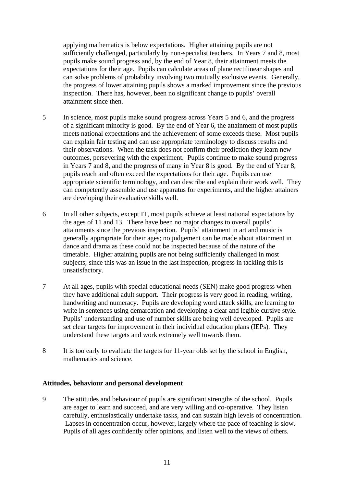applying mathematics is below expectations. Higher attaining pupils are not sufficiently challenged, particularly by non-specialist teachers. In Years 7 and 8, most pupils make sound progress and, by the end of Year 8, their attainment meets the expectations for their age. Pupils can calculate areas of plane rectilinear shapes and can solve problems of probability involving two mutually exclusive events. Generally, the progress of lower attaining pupils shows a marked improvement since the previous inspection. There has, however, been no significant change to pupils' overall attainment since then.

- 5 In science, most pupils make sound progress across Years 5 and 6, and the progress of a significant minority is good. By the end of Year 6, the attainment of most pupils meets national expectations and the achievement of some exceeds these. Most pupils can explain fair testing and can use appropriate terminology to discuss results and their observations. When the task does not confirm their prediction they learn new outcomes, persevering with the experiment. Pupils continue to make sound progress in Years 7 and 8, and the progress of many in Year 8 is good. By the end of Year 8, pupils reach and often exceed the expectations for their age. Pupils can use appropriate scientific terminology, and can describe and explain their work well. They can competently assemble and use apparatus for experiments, and the higher attainers are developing their evaluative skills well.
- 6 In all other subjects, except IT, most pupils achieve at least national expectations by the ages of 11 and 13. There have been no major changes to overall pupils' attainments since the previous inspection. Pupils' attainment in art and music is generally appropriate for their ages; no judgement can be made about attainment in dance and drama as these could not be inspected because of the nature of the timetable. Higher attaining pupils are not being sufficiently challenged in most subjects; since this was an issue in the last inspection, progress in tackling this is unsatisfactory.
- 7 At all ages, pupils with special educational needs (SEN) make good progress when they have additional adult support. Their progress is very good in reading, writing, handwriting and numeracy. Pupils are developing word attack skills, are learning to write in sentences using demarcation and developing a clear and legible cursive style. Pupils' understanding and use of number skills are being well developed. Pupils are set clear targets for improvement in their individual education plans (IEPs). They understand these targets and work extremely well towards them.
- 8 It is too early to evaluate the targets for 11-year olds set by the school in English, mathematics and science.

#### **Attitudes, behaviour and personal development**

9 The attitudes and behaviour of pupils are significant strengths of the school. Pupils are eager to learn and succeed, and are very willing and co-operative. They listen carefully, enthusiastically undertake tasks, and can sustain high levels of concentration. Lapses in concentration occur, however, largely where the pace of teaching is slow. Pupils of all ages confidently offer opinions, and listen well to the views of others.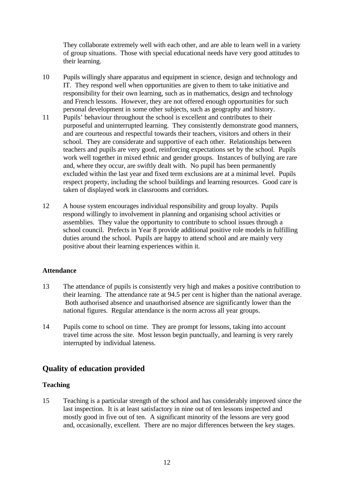They collaborate extremely well with each other, and are able to learn well in a variety of group situations. Those with special educational needs have very good attitudes to their learning.

- 10 Pupils willingly share apparatus and equipment in science, design and technology and IT. They respond well when opportunities are given to them to take initiative and responsibility for their own learning, such as in mathematics, design and technology and French lessons. However, they are not offered enough opportunities for such personal development in some other subjects, such as geography and history.
- 11 Pupils' behaviour throughout the school is excellent and contributes to their purposeful and uninterrupted learning. They consistently demonstrate good manners, and are courteous and respectful towards their teachers, visitors and others in their school. They are considerate and supportive of each other. Relationships between teachers and pupils are very good, reinforcing expectations set by the school. Pupils work well together in mixed ethnic and gender groups. Instances of bullying are rare and, where they occur, are swiftly dealt with. No pupil has been permanently excluded within the last year and fixed term exclusions are at a minimal level. Pupils respect property, including the school buildings and learning resources. Good care is taken of displayed work in classrooms and corridors.
- 12 A house system encourages individual responsibility and group loyalty. Pupils respond willingly to involvement in planning and organising school activities or assemblies. They value the opportunity to contribute to school issues through a school council. Prefects in Year 8 provide additional positive role models in fulfilling duties around the school. Pupils are happy to attend school and are mainly very positive about their learning experiences within it.

## **Attendance**

- 13 The attendance of pupils is consistently very high and makes a positive contribution to their learning. The attendance rate at 94.5 per cent is higher than the national average. Both authorised absence and unauthorised absence are significantly lower than the national figures. Regular attendance is the norm across all year groups.
- 14 Pupils come to school on time. They are prompt for lessons, taking into account travel time across the site. Most lesson begin punctually, and learning is very rarely interrupted by individual lateness.

# **Quality of education provided**

## **Teaching**

15 Teaching is a particular strength of the school and has considerably improved since the last inspection. It is at least satisfactory in nine out of ten lessons inspected and mostly good in five out of ten. A significant minority of the lessons are very good and, occasionally, excellent. There are no major differences between the key stages.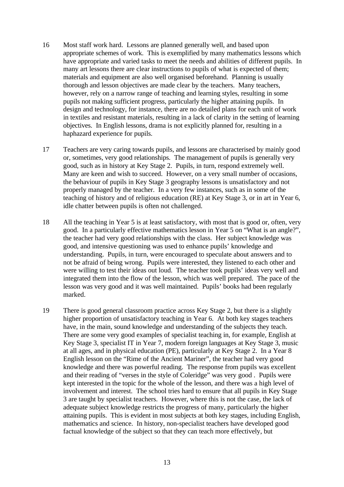- 16 Most staff work hard. Lessons are planned generally well, and based upon appropriate schemes of work. This is exemplified by many mathematics lessons which have appropriate and varied tasks to meet the needs and abilities of different pupils. In many art lessons there are clear instructions to pupils of what is expected of them; materials and equipment are also well organised beforehand. Planning is usually thorough and lesson objectives are made clear by the teachers. Many teachers, however, rely on a narrow range of teaching and learning styles, resulting in some pupils not making sufficient progress, particularly the higher attaining pupils. In design and technology, for instance, there are no detailed plans for each unit of work in textiles and resistant materials, resulting in a lack of clarity in the setting of learning objectives. In English lessons, drama is not explicitly planned for, resulting in a haphazard experience for pupils.
- 17 Teachers are very caring towards pupils, and lessons are characterised by mainly good or, sometimes, very good relationships. The management of pupils is generally very good, such as in history at Key Stage 2. Pupils, in turn, respond extremely well. Many are keen and wish to succeed. However, on a very small number of occasions, the behaviour of pupils in Key Stage 3 geography lessons is unsatisfactory and not properly managed by the teacher. In a very few instances, such as in some of the teaching of history and of religious education (RE) at Key Stage 3, or in art in Year 6, idle chatter between pupils is often not challenged.
- 18 All the teaching in Year 5 is at least satisfactory, with most that is good or, often, very good. In a particularly effective mathematics lesson in Year 5 on "What is an angle?", the teacher had very good relationships with the class. Her subject knowledge was good, and intensive questioning was used to enhance pupils' knowledge and understanding. Pupils, in turn, were encouraged to speculate about answers and to not be afraid of being wrong. Pupils were interested, they listened to each other and were willing to test their ideas out loud. The teacher took pupils' ideas very well and integrated them into the flow of the lesson, which was well prepared. The pace of the lesson was very good and it was well maintained. Pupils' books had been regularly marked.
- 19 There is good general classroom practice across Key Stage 2, but there is a slightly higher proportion of unsatisfactory teaching in Year 6. At both key stages teachers have, in the main, sound knowledge and understanding of the subjects they teach. There are some very good examples of specialist teaching in, for example, English at Key Stage 3, specialist IT in Year 7, modern foreign languages at Key Stage 3, music at all ages, and in physical education (PE), particularly at Key Stage 2. In a Year 8 English lesson on the "Rime of the Ancient Mariner", the teacher had very good knowledge and there was powerful reading. The response from pupils was excellent and their reading of "verses in the style of Coleridge" was very good . Pupils were kept interested in the topic for the whole of the lesson, and there was a high level of involvement and interest. The school tries hard to ensure that all pupils in Key Stage 3 are taught by specialist teachers. However, where this is not the case, the lack of adequate subject knowledge restricts the progress of many, particularly the higher attaining pupils. This is evident in most subjects at both key stages, including English, mathematics and science. In history, non-specialist teachers have developed good factual knowledge of the subject so that they can teach more effectively, but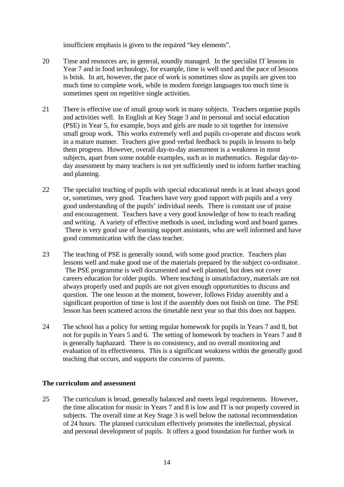insufficient emphasis is given to the required "key elements".

- 20 Time and resources are, in general, soundly managed. In the specialist IT lessons in Year 7 and in food technology, for example, time is well used and the pace of lessons is brisk. In art, however, the pace of work is sometimes slow as pupils are given too much time to complete work, while in modern foreign languages too much time is sometimes spent on repetitive single activities.
- 21 There is effective use of small group work in many subjects. Teachers organise pupils and activities well. In English at Key Stage 3 and in personal and social education (PSE) in Year 5, for example, boys and girls are made to sit together for intensive small group work. This works extremely well and pupils co-operate and discuss work in a mature manner. Teachers give good verbal feedback to pupils in lessons to help them progress. However, overall day-to-day assessment is a weakness in most subjects, apart from some notable examples, such as in mathematics. Regular day-today assessment by many teachers is not yet sufficiently used to inform further teaching and planning.
- 22 The specialist teaching of pupils with special educational needs is at least always good or, sometimes, very good. Teachers have very good rapport with pupils and a very good understanding of the pupils' individual needs. There is constant use of praise and encouragement. Teachers have a very good knowledge of how to teach reading and writing. A variety of effective methods is used, including word and board games. There is very good use of learning support assistants, who are well informed and have good communication with the class teacher.
- 23 The teaching of PSE is generally sound, with some good practice. Teachers plan lessons well and make good use of the materials prepared by the subject co-ordinator. The PSE programme is well documented and well planned, but does not cover careers education for older pupils. Where teaching is unsatisfactory, materials are not always properly used and pupils are not given enough opportunities to discuss and question. The one lesson at the moment, however, follows Friday assembly and a significant proportion of time is lost if the assembly does not finish on time. The PSE lesson has been scattered across the timetable next year so that this does not happen.
- 24 The school has a policy for setting regular homework for pupils in Years 7 and 8, but not for pupils in Years 5 and 6. The setting of homework by teachers in Years 7 and 8 is generally haphazard. There is no consistency, and no overall monitoring and evaluation of its effectiveness. This is a significant weakness within the generally good teaching that occurs, and supports the concerns of parents.

#### **The curriculum and assessment**

25 The curriculum is broad, generally balanced and meets legal requirements. However, the time allocation for music in Years 7 and 8 is low and IT is not properly covered in subjects. The overall time at Key Stage 3 is well below the national recommendation of 24 hours. The planned curriculum effectively promotes the intellectual, physical and personal development of pupils. It offers a good foundation for further work in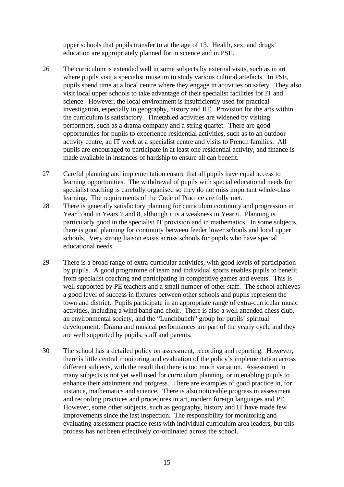upper schools that pupils transfer to at the age of 13. Health, sex, and drugs' education are appropriately planned for in science and in PSE.

- 26 The curriculum is extended well in some subjects by external visits, such as in art where pupils visit a specialist museum to study various cultural artefacts. In PSE, pupils spend time at a local centre where they engage in activities on safety. They also visit local upper schools to take advantage of their specialist facilities for IT and science. However, the local environment is insufficiently used for practical investigation, especially in geography, history and RE. Provision for the arts within the curriculum is satisfactory. Timetabled activities are widened by visiting performers, such as a drama company and a string quartet. There are good opportunities for pupils to experience residential activities, such as to an outdoor activity centre, an IT week at a specialist centre and visits to French families. All pupils are encouraged to participate in at least one residential activity, and finance is made available in instances of hardship to ensure all can benefit.
- 27 Careful planning and implementation ensure that all pupils have equal access to learning opportunities. The withdrawal of pupils with special educational needs for specialist teaching is carefully organised so they do not miss important whole-class learning. The requirements of the Code of Practice are fully met.
- 28 There is generally satisfactory planning for curriculum continuity and progression in Year 5 and in Years 7 and 8, although it is a weakness in Year 6. Planning is particularly good in the specialist IT provision and in mathematics. In some subjects, there is good planning for continuity between feeder lower schools and local upper schools. Very strong liaison exists across schools for pupils who have special educational needs.
- 29 There is a broad range of extra-curricular activities, with good levels of participation by pupils. A good programme of team and individual sports enables pupils to benefit from specialist coaching and participating in competitive games and events. This is well supported by PE teachers and a small number of other staff. The school achieves a good level of success in fixtures between other schools and pupils represent the town and district. Pupils participate in an appropriate range of extra-curricular music activities, including a wind band and choir. There is also a well attended chess club, an environmental society, and the "Lunchbunch" group for pupils' spiritual development. Drama and musical performances are part of the yearly cycle and they are well supported by pupils, staff and parents.
- 30 The school has a detailed policy on assessment, recording and reporting. However, there is little central monitoring and evaluation of the policy's implementation across different subjects, with the result that there is too much variation. Assessment in many subjects is not yet well used for curriculum planning, or in enabling pupils to enhance their attainment and progress. There are examples of good practice in, for instance, mathematics and science. There is also noticeable progress in assessment and recording practices and procedures in art, modern foreign languages and PE. However, some other subjects, such as geography, history and IT have made few improvements since the last inspection. The responsibility for monitoring and evaluating assessment practice rests with individual curriculum area leaders, but this process has not been effectively co-ordinated across the school.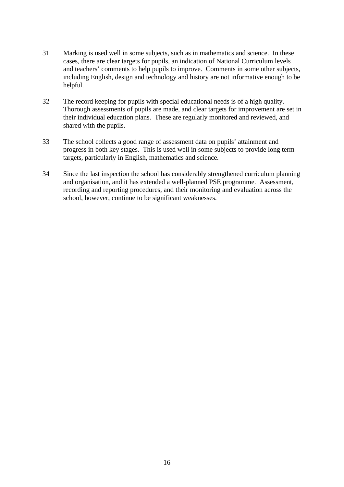- 31 Marking is used well in some subjects, such as in mathematics and science. In these cases, there are clear targets for pupils, an indication of National Curriculum levels and teachers' comments to help pupils to improve. Comments in some other subjects, including English, design and technology and history are not informative enough to be helpful.
- 32 The record keeping for pupils with special educational needs is of a high quality. Thorough assessments of pupils are made, and clear targets for improvement are set in their individual education plans. These are regularly monitored and reviewed, and shared with the pupils.
- 33 The school collects a good range of assessment data on pupils' attainment and progress in both key stages. This is used well in some subjects to provide long term targets, particularly in English, mathematics and science.
- 34 Since the last inspection the school has considerably strengthened curriculum planning and organisation, and it has extended a well-planned PSE programme. Assessment, recording and reporting procedures, and their monitoring and evaluation across the school, however, continue to be significant weaknesses.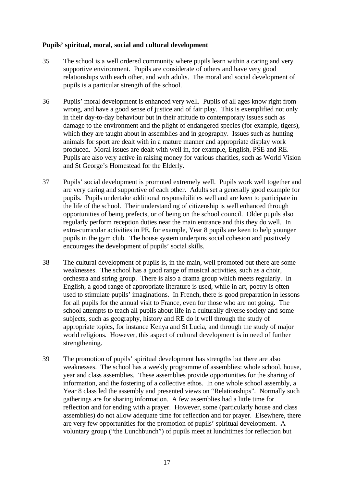### **Pupils' spiritual, moral, social and cultural development**

- 35 The school is a well ordered community where pupils learn within a caring and very supportive environment. Pupils are considerate of others and have very good relationships with each other, and with adults. The moral and social development of pupils is a particular strength of the school.
- 36 Pupils' moral development is enhanced very well. Pupils of all ages know right from wrong, and have a good sense of justice and of fair play. This is exemplified not only in their day-to-day behaviour but in their attitude to contemporary issues such as damage to the environment and the plight of endangered species (for example, tigers), which they are taught about in assemblies and in geography. Issues such as hunting animals for sport are dealt with in a mature manner and appropriate display work produced. Moral issues are dealt with well in, for example, English, PSE and RE. Pupils are also very active in raising money for various charities, such as World Vision and St George's Homestead for the Elderly.
- 37 Pupils' social development is promoted extremely well. Pupils work well together and are very caring and supportive of each other. Adults set a generally good example for pupils. Pupils undertake additional responsibilities well and are keen to participate in the life of the school. Their understanding of citizenship is well enhanced through opportunities of being prefects, or of being on the school council. Older pupils also regularly perform reception duties near the main entrance and this they do well. In extra-curricular activities in PE, for example, Year 8 pupils are keen to help younger pupils in the gym club. The house system underpins social cohesion and positively encourages the development of pupils' social skills.
- 38 The cultural development of pupils is, in the main, well promoted but there are some weaknesses. The school has a good range of musical activities, such as a choir, orchestra and string group. There is also a drama group which meets regularly. In English, a good range of appropriate literature is used, while in art, poetry is often used to stimulate pupils' imaginations. In French, there is good preparation in lessons for all pupils for the annual visit to France, even for those who are not going. The school attempts to teach all pupils about life in a culturally diverse society and some subjects, such as geography, history and RE do it well through the study of appropriate topics, for instance Kenya and St Lucia, and through the study of major world religions. However, this aspect of cultural development is in need of further strengthening.
- 39 The promotion of pupils' spiritual development has strengths but there are also weaknesses. The school has a weekly programme of assemblies: whole school, house, year and class assemblies. These assemblies provide opportunities for the sharing of information, and the fostering of a collective ethos. In one whole school assembly, a Year 8 class led the assembly and presented views on "Relationships". Normally such gatherings are for sharing information. A few assemblies had a little time for reflection and for ending with a prayer. However, some (particularly house and class assemblies) do not allow adequate time for reflection and for prayer. Elsewhere, there are very few opportunities for the promotion of pupils' spiritual development. A voluntary group ("the Lunchbunch") of pupils meet at lunchtimes for reflection but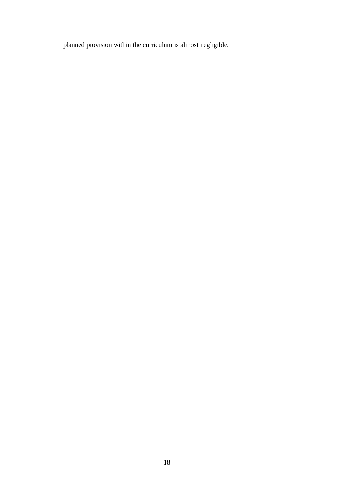planned provision within the curriculum is almost negligible.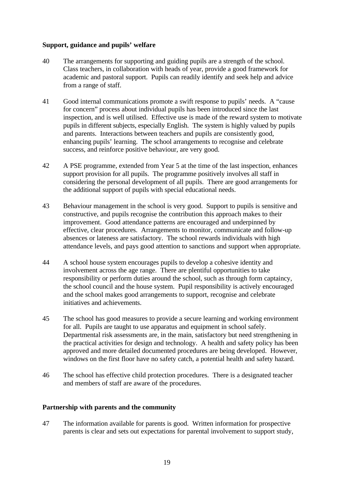## **Support, guidance and pupils' welfare**

- 40 The arrangements for supporting and guiding pupils are a strength of the school. Class teachers, in collaboration with heads of year, provide a good framework for academic and pastoral support. Pupils can readily identify and seek help and advice from a range of staff.
- 41 Good internal communications promote a swift response to pupils' needs. A "cause for concern" process about individual pupils has been introduced since the last inspection, and is well utilised. Effective use is made of the reward system to motivate pupils in different subjects, especially English. The system is highly valued by pupils and parents. Interactions between teachers and pupils are consistently good, enhancing pupils' learning. The school arrangements to recognise and celebrate success, and reinforce positive behaviour, are very good.
- 42 A PSE programme, extended from Year 5 at the time of the last inspection, enhances support provision for all pupils. The programme positively involves all staff in considering the personal development of all pupils. There are good arrangements for the additional support of pupils with special educational needs.
- 43 Behaviour management in the school is very good. Support to pupils is sensitive and constructive, and pupils recognise the contribution this approach makes to their improvement. Good attendance patterns are encouraged and underpinned by effective, clear procedures. Arrangements to monitor, communicate and follow-up absences or lateness are satisfactory. The school rewards individuals with high attendance levels, and pays good attention to sanctions and support when appropriate.
- 44 A school house system encourages pupils to develop a cohesive identity and involvement across the age range. There are plentiful opportunities to take responsibility or perform duties around the school, such as through form captaincy, the school council and the house system. Pupil responsibility is actively encouraged and the school makes good arrangements to support, recognise and celebrate initiatives and achievements.
- 45 The school has good measures to provide a secure learning and working environment for all. Pupils are taught to use apparatus and equipment in school safely. Departmental risk assessments are, in the main, satisfactory but need strengthening in the practical activities for design and technology. A health and safety policy has been approved and more detailed documented procedures are being developed. However, windows on the first floor have no safety catch, a potential health and safety hazard.
- 46 The school has effective child protection procedures. There is a designated teacher and members of staff are aware of the procedures.

#### **Partnership with parents and the community**

47 The information available for parents is good. Written information for prospective parents is clear and sets out expectations for parental involvement to support study,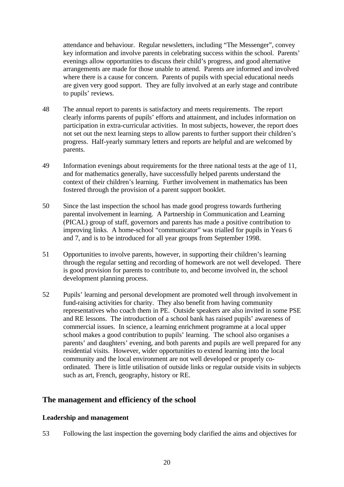attendance and behaviour. Regular newsletters, including "The Messenger", convey key information and involve parents in celebrating success within the school. Parents' evenings allow opportunities to discuss their child's progress, and good alternative arrangements are made for those unable to attend. Parents are informed and involved where there is a cause for concern. Parents of pupils with special educational needs are given very good support. They are fully involved at an early stage and contribute to pupils' reviews.

- 48 The annual report to parents is satisfactory and meets requirements. The report clearly informs parents of pupils' efforts and attainment, and includes information on participation in extra-curricular activities. In most subjects, however, the report does not set out the next learning steps to allow parents to further support their children's progress. Half-yearly summary letters and reports are helpful and are welcomed by parents.
- 49 Information evenings about requirements for the three national tests at the age of 11, and for mathematics generally, have successfully helped parents understand the context of their children's learning. Further involvement in mathematics has been fostered through the provision of a parent support booklet.
- 50 Since the last inspection the school has made good progress towards furthering parental involvement in learning. A Partnership in Communication and Learning (PICAL) group of staff, governors and parents has made a positive contribution to improving links. A home-school "communicator" was trialled for pupils in Years 6 and 7, and is to be introduced for all year groups from September 1998.
- 51 Opportunities to involve parents, however, in supporting their children's learning through the regular setting and recording of homework are not well developed. There is good provision for parents to contribute to, and become involved in, the school development planning process.
- 52 Pupils' learning and personal development are promoted well through involvement in fund-raising activities for charity. They also benefit from having community representatives who coach them in PE. Outside speakers are also invited in some PSE and RE lessons. The introduction of a school bank has raised pupils' awareness of commercial issues. In science, a learning enrichment programme at a local upper school makes a good contribution to pupils' learning. The school also organises a parents' and daughters' evening, and both parents and pupils are well prepared for any residential visits. However, wider opportunities to extend learning into the local community and the local environment are not well developed or properly coordinated. There is little utilisation of outside links or regular outside visits in subjects such as art, French, geography, history or RE.

## **The management and efficiency of the school**

## **Leadership and management**

53 Following the last inspection the governing body clarified the aims and objectives for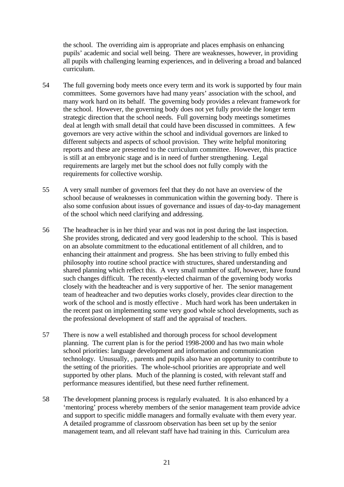the school. The overriding aim is appropriate and places emphasis on enhancing pupils' academic and social well being. There are weaknesses, however, in providing all pupils with challenging learning experiences, and in delivering a broad and balanced curriculum.

- 54 The full governing body meets once every term and its work is supported by four main committees. Some governors have had many years' association with the school, and many work hard on its behalf. The governing body provides a relevant framework for the school. However, the governing body does not yet fully provide the longer term strategic direction that the school needs. Full governing body meetings sometimes deal at length with small detail that could have been discussed in committees. A few governors are very active within the school and individual governors are linked to different subjects and aspects of school provision. They write helpful monitoring reports and these are presented to the curriculum committee. However, this practice is still at an embryonic stage and is in need of further strengthening. Legal requirements are largely met but the school does not fully comply with the requirements for collective worship.
- 55 A very small number of governors feel that they do not have an overview of the school because of weaknesses in communication within the governing body. There is also some confusion about issues of governance and issues of day-to-day management of the school which need clarifying and addressing.
- 56 The headteacher is in her third year and was not in post during the last inspection. She provides strong, dedicated and very good leadership to the school. This is based on an absolute commitment to the educational entitlement of all children, and to enhancing their attainment and progress. She has been striving to fully embed this philosophy into routine school practice with structures, shared understanding and shared planning which reflect this. A very small number of staff, however, have found such changes difficult. The recently-elected chairman of the governing body works closely with the headteacher and is very supportive of her. The senior management team of headteacher and two deputies works closely, provides clear direction to the work of the school and is mostly effective . Much hard work has been undertaken in the recent past on implementing some very good whole school developments, such as the professional development of staff and the appraisal of teachers.
- 57 There is now a well established and thorough process for school development planning. The current plan is for the period 1998-2000 and has two main whole school priorities: language development and information and communication technology. Unusually, , parents and pupils also have an opportunity to contribute to the setting of the priorities. The whole-school priorities are appropriate and well supported by other plans. Much of the planning is costed, with relevant staff and performance measures identified, but these need further refinement.
- 58 The development planning process is regularly evaluated. It is also enhanced by a 'mentoring' process whereby members of the senior management team provide advice and support to specific middle managers and formally evaluate with them every year. A detailed programme of classroom observation has been set up by the senior management team, and all relevant staff have had training in this. Curriculum area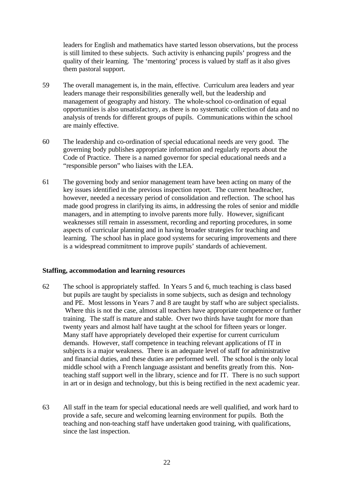leaders for English and mathematics have started lesson observations, but the process is still limited to these subjects. Such activity is enhancing pupils' progress and the quality of their learning. The 'mentoring' process is valued by staff as it also gives them pastoral support.

- 59 The overall management is, in the main, effective. Curriculum area leaders and year leaders manage their responsibilities generally well, but the leadership and management of geography and history. The whole-school co-ordination of equal opportunities is also unsatisfactory, as there is no systematic collection of data and no analysis of trends for different groups of pupils. Communications within the school are mainly effective.
- 60 The leadership and co-ordination of special educational needs are very good. The governing body publishes appropriate information and regularly reports about the Code of Practice. There is a named governor for special educational needs and a "responsible person" who liaises with the LEA.
- 61 The governing body and senior management team have been acting on many of the key issues identified in the previous inspection report. The current headteacher, however, needed a necessary period of consolidation and reflection. The school has made good progress in clarifying its aims, in addressing the roles of senior and middle managers, and in attempting to involve parents more fully. However, significant weaknesses still remain in assessment, recording and reporting procedures, in some aspects of curricular planning and in having broader strategies for teaching and learning. The school has in place good systems for securing improvements and there is a widespread commitment to improve pupils' standards of achievement.

#### **Staffing, accommodation and learning resources**

- 62 The school is appropriately staffed. In Years 5 and 6, much teaching is class based but pupils are taught by specialists in some subjects, such as design and technology and PE. Most lessons in Years 7 and 8 are taught by staff who are subject specialists. Where this is not the case, almost all teachers have appropriate competence or further training. The staff is mature and stable. Over two thirds have taught for more than twenty years and almost half have taught at the school for fifteen years or longer. Many staff have appropriately developed their expertise for current curriculum demands. However, staff competence in teaching relevant applications of IT in subjects is a major weakness. There is an adequate level of staff for administrative and financial duties, and these duties are performed well. The school is the only local middle school with a French language assistant and benefits greatly from this. Nonteaching staff support well in the library, science and for IT. There is no such support in art or in design and technology, but this is being rectified in the next academic year.
- 63 All staff in the team for special educational needs are well qualified, and work hard to provide a safe, secure and welcoming learning environment for pupils. Both the teaching and non-teaching staff have undertaken good training, with qualifications, since the last inspection.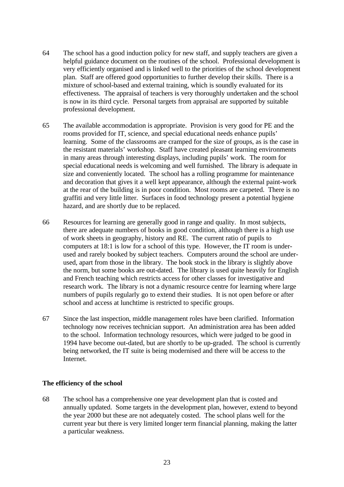- 64 The school has a good induction policy for new staff, and supply teachers are given a helpful guidance document on the routines of the school. Professional development is very efficiently organised and is linked well to the priorities of the school development plan. Staff are offered good opportunities to further develop their skills. There is a mixture of school-based and external training, which is soundly evaluated for its effectiveness. The appraisal of teachers is very thoroughly undertaken and the school is now in its third cycle. Personal targets from appraisal are supported by suitable professional development.
- 65 The available accommodation is appropriate. Provision is very good for PE and the rooms provided for IT, science, and special educational needs enhance pupils' learning. Some of the classrooms are cramped for the size of groups, as is the case in the resistant materials' workshop. Staff have created pleasant learning environments in many areas through interesting displays, including pupils' work. The room for special educational needs is welcoming and well furnished. The library is adequate in size and conveniently located. The school has a rolling programme for maintenance and decoration that gives it a well kept appearance, although the external paint-work at the rear of the building is in poor condition. Most rooms are carpeted. There is no graffiti and very little litter. Surfaces in food technology present a potential hygiene hazard, and are shortly due to be replaced.
- 66 Resources for learning are generally good in range and quality. In most subjects, there are adequate numbers of books in good condition, although there is a high use of work sheets in geography, history and RE. The current ratio of pupils to computers at 18:1 is low for a school of this type. However, the IT room is underused and rarely booked by subject teachers. Computers around the school are underused, apart from those in the library. The book stock in the library is slightly above the norm, but some books are out-dated. The library is used quite heavily for English and French teaching which restricts access for other classes for investigative and research work. The library is not a dynamic resource centre for learning where large numbers of pupils regularly go to extend their studies. It is not open before or after school and access at lunchtime is restricted to specific groups.
- 67 Since the last inspection, middle management roles have been clarified. Information technology now receives technician support. An administration area has been added to the school. Information technology resources, which were judged to be good in 1994 have become out-dated, but are shortly to be up-graded. The school is currently being networked, the IT suite is being modernised and there will be access to the Internet.

#### **The efficiency of the school**

68 The school has a comprehensive one year development plan that is costed and annually updated. Some targets in the development plan, however, extend to beyond the year 2000 but these are not adequately costed. The school plans well for the current year but there is very limited longer term financial planning, making the latter a particular weakness.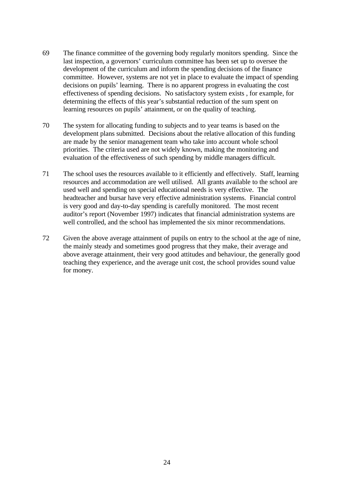- 69 The finance committee of the governing body regularly monitors spending. Since the last inspection, a governors' curriculum committee has been set up to oversee the development of the curriculum and inform the spending decisions of the finance committee. However, systems are not yet in place to evaluate the impact of spending decisions on pupils' learning. There is no apparent progress in evaluating the cost effectiveness of spending decisions. No satisfactory system exists , for example, for determining the effects of this year's substantial reduction of the sum spent on learning resources on pupils' attainment, or on the quality of teaching.
- 70 The system for allocating funding to subjects and to year teams is based on the development plans submitted. Decisions about the relative allocation of this funding are made by the senior management team who take into account whole school priorities. The criteria used are not widely known, making the monitoring and evaluation of the effectiveness of such spending by middle managers difficult.
- 71 The school uses the resources available to it efficiently and effectively. Staff, learning resources and accommodation are well utilised. All grants available to the school are used well and spending on special educational needs is very effective. The headteacher and bursar have very effective administration systems. Financial control is very good and day-to-day spending is carefully monitored. The most recent auditor's report (November 1997) indicates that financial administration systems are well controlled, and the school has implemented the six minor recommendations.
- 72 Given the above average attainment of pupils on entry to the school at the age of nine, the mainly steady and sometimes good progress that they make, their average and above average attainment, their very good attitudes and behaviour, the generally good teaching they experience, and the average unit cost, the school provides sound value for money.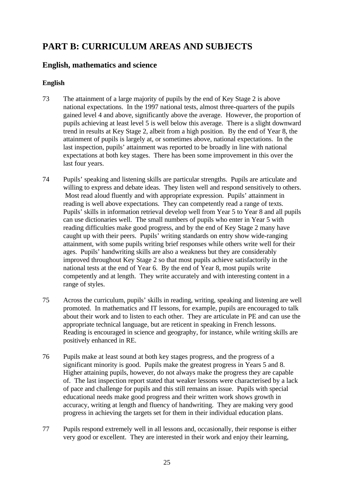# **PART B: CURRICULUM AREAS AND SUBJECTS**

# **English, mathematics and science**

## **English**

- 73 The attainment of a large majority of pupils by the end of Key Stage 2 is above national expectations. In the 1997 national tests, almost three-quarters of the pupils gained level 4 and above, significantly above the average. However, the proportion of pupils achieving at least level 5 is well below this average. There is a slight downward trend in results at Key Stage 2, albeit from a high position. By the end of Year 8, the attainment of pupils is largely at, or sometimes above, national expectations. In the last inspection, pupils' attainment was reported to be broadly in line with national expectations at both key stages. There has been some improvement in this over the last four years.
- 74 Pupils' speaking and listening skills are particular strengths. Pupils are articulate and willing to express and debate ideas. They listen well and respond sensitively to others. Most read aloud fluently and with appropriate expression. Pupils' attainment in reading is well above expectations. They can competently read a range of texts. Pupils' skills in information retrieval develop well from Year 5 to Year 8 and all pupils can use dictionaries well. The small numbers of pupils who enter in Year 5 with reading difficulties make good progress, and by the end of Key Stage 2 many have caught up with their peers. Pupils' writing standards on entry show wide-ranging attainment, with some pupils writing brief responses while others write well for their ages. Pupils' handwriting skills are also a weakness but they are considerably improved throughout Key Stage 2 so that most pupils achieve satisfactorily in the national tests at the end of Year 6. By the end of Year 8, most pupils write competently and at length. They write accurately and with interesting content in a range of styles.
- 75 Across the curriculum, pupils' skills in reading, writing, speaking and listening are well promoted. In mathematics and IT lessons, for example, pupils are encouraged to talk about their work and to listen to each other. They are articulate in PE and can use the appropriate technical language, but are reticent in speaking in French lessons. Reading is encouraged in science and geography, for instance, while writing skills are positively enhanced in RE.
- 76 Pupils make at least sound at both key stages progress, and the progress of a significant minority is good. Pupils make the greatest progress in Years 5 and 8. Higher attaining pupils, however, do not always make the progress they are capable of. The last inspection report stated that weaker lessons were characterised by a lack of pace and challenge for pupils and this still remains an issue. Pupils with special educational needs make good progress and their written work shows growth in accuracy, writing at length and fluency of handwriting. They are making very good progress in achieving the targets set for them in their individual education plans.
- 77 Pupils respond extremely well in all lessons and, occasionally, their response is either very good or excellent. They are interested in their work and enjoy their learning,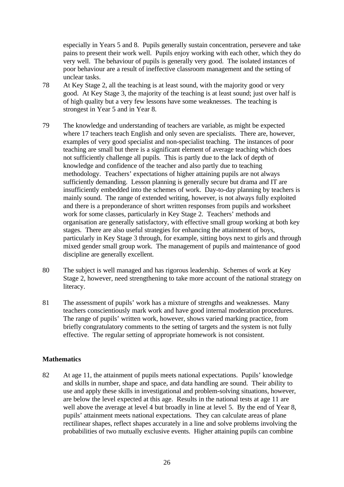especially in Years 5 and 8. Pupils generally sustain concentration, persevere and take pains to present their work well. Pupils enjoy working with each other, which they do very well. The behaviour of pupils is generally very good. The isolated instances of poor behaviour are a result of ineffective classroom management and the setting of unclear tasks.

- 78 At Key Stage 2, all the teaching is at least sound, with the majority good or very good. At Key Stage 3, the majority of the teaching is at least sound; just over half is of high quality but a very few lessons have some weaknesses. The teaching is strongest in Year 5 and in Year 8.
- 79 The knowledge and understanding of teachers are variable, as might be expected where 17 teachers teach English and only seven are specialists. There are, however, examples of very good specialist and non-specialist teaching. The instances of poor teaching are small but there is a significant element of average teaching which does not sufficiently challenge all pupils. This is partly due to the lack of depth of knowledge and confidence of the teacher and also partly due to teaching methodology. Teachers' expectations of higher attaining pupils are not always sufficiently demanding. Lesson planning is generally secure but drama and IT are insufficiently embedded into the schemes of work. Day-to-day planning by teachers is mainly sound. The range of extended writing, however, is not always fully exploited and there is a preponderance of short written responses from pupils and worksheet work for some classes, particularly in Key Stage 2. Teachers' methods and organisation are generally satisfactory, with effective small group working at both key stages. There are also useful strategies for enhancing the attainment of boys, particularly in Key Stage 3 through, for example, sitting boys next to girls and through mixed gender small group work. The management of pupils and maintenance of good discipline are generally excellent.
- 80 The subject is well managed and has rigorous leadership. Schemes of work at Key Stage 2, however, need strengthening to take more account of the national strategy on literacy.
- 81 The assessment of pupils' work has a mixture of strengths and weaknesses. Many teachers conscientiously mark work and have good internal moderation procedures. The range of pupils' written work, however, shows varied marking practice, from briefly congratulatory comments to the setting of targets and the system is not fully effective. The regular setting of appropriate homework is not consistent.

## **Mathematics**

82 At age 11, the attainment of pupils meets national expectations. Pupils' knowledge and skills in number, shape and space, and data handling are sound. Their ability to use and apply these skills in investigational and problem-solving situations, however, are below the level expected at this age. Results in the national tests at age 11 are well above the average at level 4 but broadly in line at level 5. By the end of Year 8, pupils' attainment meets national expectations. They can calculate areas of plane rectilinear shapes, reflect shapes accurately in a line and solve problems involving the probabilities of two mutually exclusive events. Higher attaining pupils can combine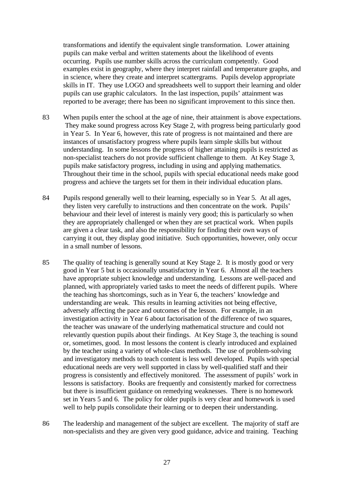transformations and identify the equivalent single transformation. Lower attaining pupils can make verbal and written statements about the likelihood of events occurring. Pupils use number skills across the curriculum competently. Good examples exist in geography, where they interpret rainfall and temperature graphs, and in science, where they create and interpret scattergrams. Pupils develop appropriate skills in IT. They use LOGO and spreadsheets well to support their learning and older pupils can use graphic calculators. In the last inspection, pupils' attainment was reported to be average; there has been no significant improvement to this since then.

- 83 When pupils enter the school at the age of nine, their attainment is above expectations. They make sound progress across Key Stage 2, with progress being particularly good in Year 5. In Year 6, however, this rate of progress is not maintained and there are instances of unsatisfactory progress where pupils learn simple skills but without understanding. In some lessons the progress of higher attaining pupils is restricted as non-specialist teachers do not provide sufficient challenge to them. At Key Stage 3, pupils make satisfactory progress, including in using and applying mathematics. Throughout their time in the school, pupils with special educational needs make good progress and achieve the targets set for them in their individual education plans.
- 84 Pupils respond generally well to their learning, especially so in Year 5. At all ages, they listen very carefully to instructions and then concentrate on the work. Pupils' behaviour and their level of interest is mainly very good; this is particularly so when they are appropriately challenged or when they are set practical work. When pupils are given a clear task, and also the responsibility for finding their own ways of carrying it out, they display good initiative. Such opportunities, however, only occur in a small number of lessons.
- 85 The quality of teaching is generally sound at Key Stage 2. It is mostly good or very good in Year 5 but is occasionally unsatisfactory in Year 6. Almost all the teachers have appropriate subject knowledge and understanding. Lessons are well-paced and planned, with appropriately varied tasks to meet the needs of different pupils. Where the teaching has shortcomings, such as in Year 6, the teachers' knowledge and understanding are weak. This results in learning activities not being effective, adversely affecting the pace and outcomes of the lesson. For example, in an investigation activity in Year 6 about factorisation of the difference of two squares, the teacher was unaware of the underlying mathematical structure and could not relevantly question pupils about their findings. At Key Stage 3, the teaching is sound or, sometimes, good. In most lessons the content is clearly introduced and explained by the teacher using a variety of whole-class methods. The use of problem-solving and investigatory methods to teach content is less well developed. Pupils with special educational needs are very well supported in class by well-qualified staff and their progress is consistently and effectively monitored. The assessment of pupils' work in lessons is satisfactory. Books are frequently and consistently marked for correctness but there is insufficient guidance on remedying weaknesses. There is no homework set in Years 5 and 6. The policy for older pupils is very clear and homework is used well to help pupils consolidate their learning or to deepen their understanding.
- 86 The leadership and management of the subject are excellent. The majority of staff are non-specialists and they are given very good guidance, advice and training. Teaching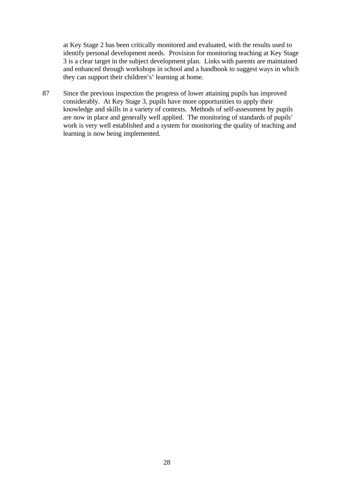at Key Stage 2 has been critically monitored and evaluated, with the results used to identify personal development needs. Provision for monitoring teaching at Key Stage 3 is a clear target in the subject development plan. Links with parents are maintained and enhanced through workshops in school and a handbook to suggest ways in which they can support their children's' learning at home.

87 Since the previous inspection the progress of lower attaining pupils has improved considerably. At Key Stage 3, pupils have more opportunities to apply their knowledge and skills in a variety of contexts. Methods of self-assessment by pupils are now in place and generally well applied. The monitoring of standards of pupils' work is very well established and a system for monitoring the quality of teaching and learning is now being implemented.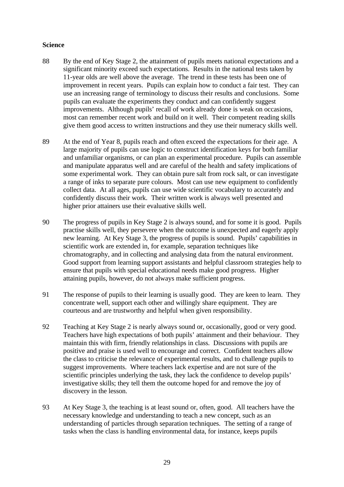## **Science**

- 88 By the end of Key Stage 2, the attainment of pupils meets national expectations and a significant minority exceed such expectations. Results in the national tests taken by 11-year olds are well above the average. The trend in these tests has been one of improvement in recent years. Pupils can explain how to conduct a fair test. They can use an increasing range of terminology to discuss their results and conclusions. Some pupils can evaluate the experiments they conduct and can confidently suggest improvements. Although pupils' recall of work already done is weak on occasions, most can remember recent work and build on it well. Their competent reading skills give them good access to written instructions and they use their numeracy skills well.
- 89 At the end of Year 8, pupils reach and often exceed the expectations for their age. A large majority of pupils can use logic to construct identification keys for both familiar and unfamiliar organisms, or can plan an experimental procedure. Pupils can assemble and manipulate apparatus well and are careful of the health and safety implications of some experimental work. They can obtain pure salt from rock salt, or can investigate a range of inks to separate pure colours. Most can use new equipment to confidently collect data. At all ages, pupils can use wide scientific vocabulary to accurately and confidently discuss their work. Their written work is always well presented and higher prior attainers use their evaluative skills well.
- 90 The progress of pupils in Key Stage 2 is always sound, and for some it is good. Pupils practise skills well, they persevere when the outcome is unexpected and eagerly apply new learning. At Key Stage 3, the progress of pupils is sound. Pupils' capabilities in scientific work are extended in, for example, separation techniques like chromatography, and in collecting and analysing data from the natural environment. Good support from learning support assistants and helpful classroom strategies help to ensure that pupils with special educational needs make good progress. Higher attaining pupils, however, do not always make sufficient progress.
- 91 The response of pupils to their learning is usually good. They are keen to learn. They concentrate well, support each other and willingly share equipment. They are courteous and are trustworthy and helpful when given responsibility.
- 92 Teaching at Key Stage 2 is nearly always sound or, occasionally, good or very good. Teachers have high expectations of both pupils' attainment and their behaviour. They maintain this with firm, friendly relationships in class. Discussions with pupils are positive and praise is used well to encourage and correct. Confident teachers allow the class to criticise the relevance of experimental results, and to challenge pupils to suggest improvements. Where teachers lack expertise and are not sure of the scientific principles underlying the task, they lack the confidence to develop pupils' investigative skills; they tell them the outcome hoped for and remove the joy of discovery in the lesson.
- 93 At Key Stage 3, the teaching is at least sound or, often, good. All teachers have the necessary knowledge and understanding to teach a new concept, such as an understanding of particles through separation techniques. The setting of a range of tasks when the class is handling environmental data, for instance, keeps pupils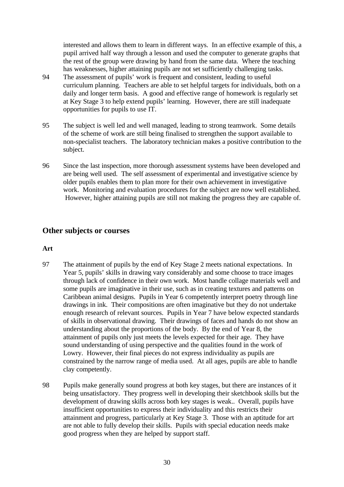interested and allows them to learn in different ways. In an effective example of this, a pupil arrived half way through a lesson and used the computer to generate graphs that the rest of the group were drawing by hand from the same data. Where the teaching has weaknesses, higher attaining pupils are not set sufficiently challenging tasks.

- 94 The assessment of pupils' work is frequent and consistent, leading to useful curriculum planning. Teachers are able to set helpful targets for individuals, both on a daily and longer term basis. A good and effective range of homework is regularly set at Key Stage 3 to help extend pupils' learning. However, there are still inadequate opportunities for pupils to use IT.
- 95 The subject is well led and well managed, leading to strong teamwork. Some details of the scheme of work are still being finalised to strengthen the support available to non-specialist teachers. The laboratory technician makes a positive contribution to the subject.
- 96 Since the last inspection, more thorough assessment systems have been developed and are being well used. The self assessment of experimental and investigative science by older pupils enables them to plan more for their own achievement in investigative work. Monitoring and evaluation procedures for the subject are now well established. However, higher attaining pupils are still not making the progress they are capable of.

# **Other subjects or courses**

#### **Art**

- 97 The attainment of pupils by the end of Key Stage 2 meets national expectations. In Year 5, pupils' skills in drawing vary considerably and some choose to trace images through lack of confidence in their own work. Most handle collage materials well and some pupils are imaginative in their use, such as in creating textures and patterns on Caribbean animal designs. Pupils in Year 6 competently interpret poetry through line drawings in ink. Their compositions are often imaginative but they do not undertake enough research of relevant sources. Pupils in Year 7 have below expected standards of skills in observational drawing. Their drawings of faces and hands do not show an understanding about the proportions of the body. By the end of Year 8, the attainment of pupils only just meets the levels expected for their age. They have sound understanding of using perspective and the qualities found in the work of Lowry. However, their final pieces do not express individuality as pupils are constrained by the narrow range of media used. At all ages, pupils are able to handle clay competently.
- 98 Pupils make generally sound progress at both key stages, but there are instances of it being unsatisfactory. They progress well in developing their sketchbook skills but the development of drawing skills across both key stages is weak.. Overall, pupils have insufficient opportunities to express their individuality and this restricts their attainment and progress, particularly at Key Stage 3. Those with an aptitude for art are not able to fully develop their skills. Pupils with special education needs make good progress when they are helped by support staff.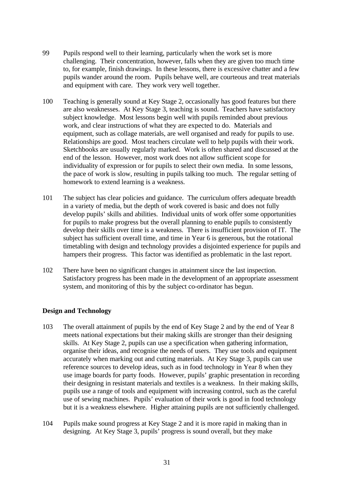- 99 Pupils respond well to their learning, particularly when the work set is more challenging. Their concentration, however, falls when they are given too much time to, for example, finish drawings. In these lessons, there is excessive chatter and a few pupils wander around the room. Pupils behave well, are courteous and treat materials and equipment with care. They work very well together.
- 100 Teaching is generally sound at Key Stage 2, occasionally has good features but there are also weaknesses. At Key Stage 3, teaching is sound. Teachers have satisfactory subject knowledge. Most lessons begin well with pupils reminded about previous work, and clear instructions of what they are expected to do. Materials and equipment, such as collage materials, are well organised and ready for pupils to use. Relationships are good. Most teachers circulate well to help pupils with their work. Sketchbooks are usually regularly marked. Work is often shared and discussed at the end of the lesson. However, most work does not allow sufficient scope for individuality of expression or for pupils to select their own media. In some lessons, the pace of work is slow, resulting in pupils talking too much. The regular setting of homework to extend learning is a weakness.
- 101 The subject has clear policies and guidance. The curriculum offers adequate breadth in a variety of media, but the depth of work covered is basic and does not fully develop pupils' skills and abilities. Individual units of work offer some opportunities for pupils to make progress but the overall planning to enable pupils to consistently develop their skills over time is a weakness. There is insufficient provision of IT. The subject has sufficient overall time, and time in Year 6 is generous, but the rotational timetabling with design and technology provides a disjointed experience for pupils and hampers their progress. This factor was identified as problematic in the last report.
- 102 There have been no significant changes in attainment since the last inspection. Satisfactory progress has been made in the development of an appropriate assessment system, and monitoring of this by the subject co-ordinator has begun.

#### **Design and Technology**

- 103 The overall attainment of pupils by the end of Key Stage 2 and by the end of Year 8 meets national expectations but their making skills are stronger than their designing skills. At Key Stage 2, pupils can use a specification when gathering information, organise their ideas, and recognise the needs of users. They use tools and equipment accurately when marking out and cutting materials. At Key Stage 3, pupils can use reference sources to develop ideas, such as in food technology in Year 8 when they use image boards for party foods. However, pupils' graphic presentation in recording their designing in resistant materials and textiles is a weakness. In their making skills, pupils use a range of tools and equipment with increasing control, such as the careful use of sewing machines. Pupils' evaluation of their work is good in food technology but it is a weakness elsewhere. Higher attaining pupils are not sufficiently challenged.
- 104 Pupils make sound progress at Key Stage 2 and it is more rapid in making than in designing. At Key Stage 3, pupils' progress is sound overall, but they make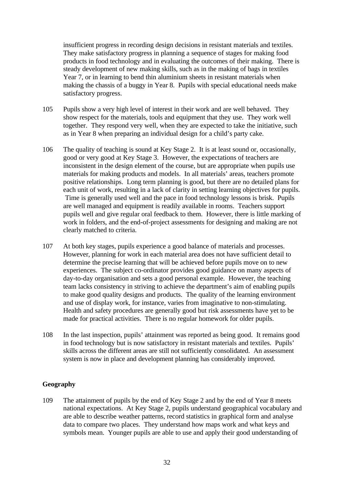insufficient progress in recording design decisions in resistant materials and textiles. They make satisfactory progress in planning a sequence of stages for making food products in food technology and in evaluating the outcomes of their making. There is steady development of new making skills, such as in the making of bags in textiles Year 7, or in learning to bend thin aluminium sheets in resistant materials when making the chassis of a buggy in Year 8. Pupils with special educational needs make satisfactory progress.

- 105 Pupils show a very high level of interest in their work and are well behaved. They show respect for the materials, tools and equipment that they use. They work well together. They respond very well, when they are expected to take the initiative, such as in Year 8 when preparing an individual design for a child's party cake.
- 106 The quality of teaching is sound at Key Stage 2. It is at least sound or, occasionally, good or very good at Key Stage 3. However, the expectations of teachers are inconsistent in the design element of the course, but are appropriate when pupils use materials for making products and models. In all materials' areas, teachers promote positive relationships. Long term planning is good, but there are no detailed plans for each unit of work, resulting in a lack of clarity in setting learning objectives for pupils. Time is generally used well and the pace in food technology lessons is brisk. Pupils are well managed and equipment is readily available in rooms. Teachers support pupils well and give regular oral feedback to them. However, there is little marking of work in folders, and the end-of-project assessments for designing and making are not clearly matched to criteria.
- 107 At both key stages, pupils experience a good balance of materials and processes. However, planning for work in each material area does not have sufficient detail to determine the precise learning that will be achieved before pupils move on to new experiences. The subject co-ordinator provides good guidance on many aspects of day-to-day organisation and sets a good personal example. However, the teaching team lacks consistency in striving to achieve the department's aim of enabling pupils to make good quality designs and products. The quality of the learning environment and use of display work, for instance, varies from imaginative to non-stimulating. Health and safety procedures are generally good but risk assessments have yet to be made for practical activities. There is no regular homework for older pupils.
- 108 In the last inspection, pupils' attainment was reported as being good. It remains good in food technology but is now satisfactory in resistant materials and textiles. Pupils' skills across the different areas are still not sufficiently consolidated. An assessment system is now in place and development planning has considerably improved.

## **Geography**

109 The attainment of pupils by the end of Key Stage 2 and by the end of Year 8 meets national expectations. At Key Stage 2, pupils understand geographical vocabulary and are able to describe weather patterns, record statistics in graphical form and analyse data to compare two places. They understand how maps work and what keys and symbols mean. Younger pupils are able to use and apply their good understanding of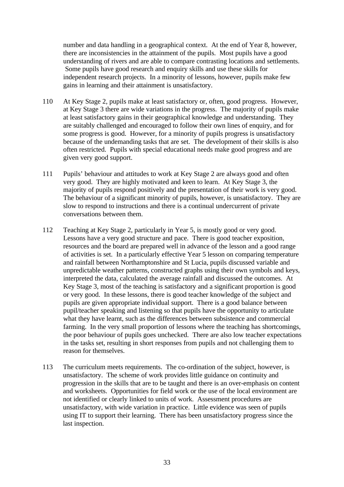number and data handling in a geographical context. At the end of Year 8, however, there are inconsistencies in the attainment of the pupils. Most pupils have a good understanding of rivers and are able to compare contrasting locations and settlements. Some pupils have good research and enquiry skills and use these skills for independent research projects. In a minority of lessons, however, pupils make few gains in learning and their attainment is unsatisfactory.

- 110 At Key Stage 2, pupils make at least satisfactory or, often, good progress. However, at Key Stage 3 there are wide variations in the progress. The majority of pupils make at least satisfactory gains in their geographical knowledge and understanding. They are suitably challenged and encouraged to follow their own lines of enquiry, and for some progress is good. However, for a minority of pupils progress is unsatisfactory because of the undemanding tasks that are set. The development of their skills is also often restricted. Pupils with special educational needs make good progress and are given very good support.
- 111 Pupils' behaviour and attitudes to work at Key Stage 2 are always good and often very good. They are highly motivated and keen to learn. At Key Stage 3, the majority of pupils respond positively and the presentation of their work is very good. The behaviour of a significant minority of pupils, however, is unsatisfactory. They are slow to respond to instructions and there is a continual undercurrent of private conversations between them.
- 112 Teaching at Key Stage 2, particularly in Year 5, is mostly good or very good. Lessons have a very good structure and pace. There is good teacher exposition, resources and the board are prepared well in advance of the lesson and a good range of activities is set. In a particularly effective Year 5 lesson on comparing temperature and rainfall between Northamptonshire and St Lucia, pupils discussed variable and unpredictable weather patterns, constructed graphs using their own symbols and keys, interpreted the data, calculated the average rainfall and discussed the outcomes. At Key Stage 3, most of the teaching is satisfactory and a significant proportion is good or very good. In these lessons, there is good teacher knowledge of the subject and pupils are given appropriate individual support. There is a good balance between pupil/teacher speaking and listening so that pupils have the opportunity to articulate what they have learnt, such as the differences between subsistence and commercial farming. In the very small proportion of lessons where the teaching has shortcomings, the poor behaviour of pupils goes unchecked. There are also low teacher expectations in the tasks set, resulting in short responses from pupils and not challenging them to reason for themselves.
- 113 The curriculum meets requirements. The co-ordination of the subject, however, is unsatisfactory. The scheme of work provides little guidance on continuity and progression in the skills that are to be taught and there is an over-emphasis on content and worksheets. Opportunities for field work or the use of the local environment are not identified or clearly linked to units of work. Assessment procedures are unsatisfactory, with wide variation in practice. Little evidence was seen of pupils using IT to support their learning. There has been unsatisfactory progress since the last inspection.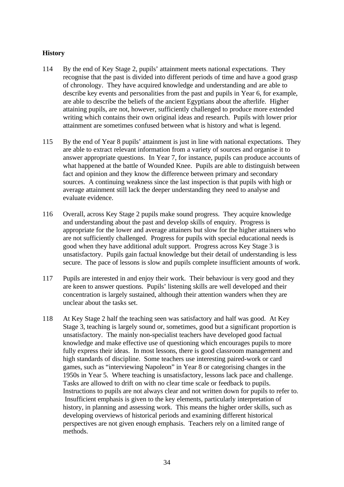## **History**

- 114 By the end of Key Stage 2, pupils' attainment meets national expectations. They recognise that the past is divided into different periods of time and have a good grasp of chronology. They have acquired knowledge and understanding and are able to describe key events and personalities from the past and pupils in Year 6, for example, are able to describe the beliefs of the ancient Egyptians about the afterlife. Higher attaining pupils, are not, however, sufficiently challenged to produce more extended writing which contains their own original ideas and research. Pupils with lower prior attainment are sometimes confused between what is history and what is legend.
- 115 By the end of Year 8 pupils' attainment is just in line with national expectations. They are able to extract relevant information from a variety of sources and organise it to answer appropriate questions. In Year 7, for instance, pupils can produce accounts of what happened at the battle of Wounded Knee. Pupils are able to distinguish between fact and opinion and they know the difference between primary and secondary sources. A continuing weakness since the last inspection is that pupils with high or average attainment still lack the deeper understanding they need to analyse and evaluate evidence.
- 116 Overall, across Key Stage 2 pupils make sound progress. They acquire knowledge and understanding about the past and develop skills of enquiry. Progress is appropriate for the lower and average attainers but slow for the higher attainers who are not sufficiently challenged. Progress for pupils with special educational needs is good when they have additional adult support. Progress across Key Stage 3 is unsatisfactory. Pupils gain factual knowledge but their detail of understanding is less secure. The pace of lessons is slow and pupils complete insufficient amounts of work.
- 117 Pupils are interested in and enjoy their work. Their behaviour is very good and they are keen to answer questions. Pupils' listening skills are well developed and their concentration is largely sustained, although their attention wanders when they are unclear about the tasks set.
- 118 At Key Stage 2 half the teaching seen was satisfactory and half was good. At Key Stage 3, teaching is largely sound or, sometimes, good but a significant proportion is unsatisfactory. The mainly non-specialist teachers have developed good factual knowledge and make effective use of questioning which encourages pupils to more fully express their ideas. In most lessons, there is good classroom management and high standards of discipline. Some teachers use interesting paired-work or card games, such as "interviewing Napoleon" in Year 8 or categorising changes in the 1950s in Year 5. Where teaching is unsatisfactory, lessons lack pace and challenge. Tasks are allowed to drift on with no clear time scale or feedback to pupils. Instructions to pupils are not always clear and not written down for pupils to refer to. Insufficient emphasis is given to the key elements, particularly interpretation of history, in planning and assessing work. This means the higher order skills, such as developing overviews of historical periods and examining different historical perspectives are not given enough emphasis. Teachers rely on a limited range of methods.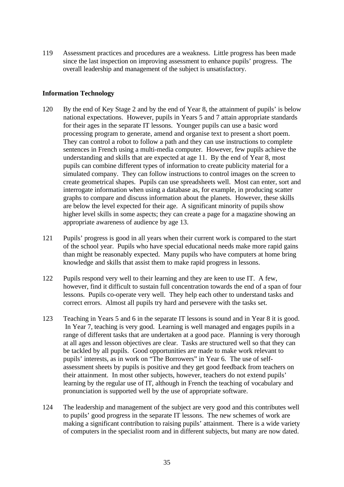119 Assessment practices and procedures are a weakness. Little progress has been made since the last inspection on improving assessment to enhance pupils' progress. The overall leadership and management of the subject is unsatisfactory.

### **Information Technology**

- 120 By the end of Key Stage 2 and by the end of Year 8, the attainment of pupils' is below national expectations. However, pupils in Years 5 and 7 attain appropriate standards for their ages in the separate IT lessons. Younger pupils can use a basic word processing program to generate, amend and organise text to present a short poem. They can control a robot to follow a path and they can use instructions to complete sentences in French using a multi-media computer. However, few pupils achieve the understanding and skills that are expected at age 11. By the end of Year 8, most pupils can combine different types of information to create publicity material for a simulated company. They can follow instructions to control images on the screen to create geometrical shapes. Pupils can use spreadsheets well. Most can enter, sort and interrogate information when using a database as, for example, in producing scatter graphs to compare and discuss information about the planets. However, these skills are below the level expected for their age. A significant minority of pupils show higher level skills in some aspects; they can create a page for a magazine showing an appropriate awareness of audience by age 13.
- 121 Pupils' progress is good in all years when their current work is compared to the start of the school year. Pupils who have special educational needs make more rapid gains than might be reasonably expected. Many pupils who have computers at home bring knowledge and skills that assist them to make rapid progress in lessons.
- 122 Pupils respond very well to their learning and they are keen to use IT. A few, however, find it difficult to sustain full concentration towards the end of a span of four lessons. Pupils co-operate very well. They help each other to understand tasks and correct errors. Almost all pupils try hard and persevere with the tasks set.
- 123 Teaching in Years 5 and 6 in the separate IT lessons is sound and in Year 8 it is good. In Year 7, teaching is very good. Learning is well managed and engages pupils in a range of different tasks that are undertaken at a good pace. Planning is very thorough at all ages and lesson objectives are clear. Tasks are structured well so that they can be tackled by all pupils. Good opportunities are made to make work relevant to pupils' interests, as in work on "The Borrowers" in Year 6. The use of selfassessment sheets by pupils is positive and they get good feedback from teachers on their attainment. In most other subjects, however, teachers do not extend pupils' learning by the regular use of IT, although in French the teaching of vocabulary and pronunciation is supported well by the use of appropriate software.
- 124 The leadership and management of the subject are very good and this contributes well to pupils' good progress in the separate IT lessons. The new schemes of work are making a significant contribution to raising pupils' attainment. There is a wide variety of computers in the specialist room and in different subjects, but many are now dated.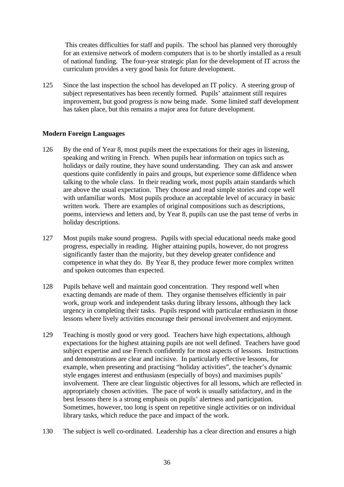This creates difficulties for staff and pupils. The school has planned very thoroughly for an extensive network of modern computers that is to be shortly installed as a result of national funding. The four-year strategic plan for the development of IT across the curriculum provides a very good basis for future development.

125 Since the last inspection the school has developed an IT policy. A steering group of subject representatives has been recently formed. Pupils' attainment still requires improvement, but good progress is now being made. Some limited staff development has taken place, but this remains a major area for future development.

## **Modern Foreign Languages**

- 126 By the end of Year 8, most pupils meet the expectations for their ages in listening, speaking and writing in French. When pupils hear information on topics such as holidays or daily routine, they have sound understanding. They can ask and answer questions quite confidently in pairs and groups, but experience some diffidence when talking to the whole class. In their reading work, most pupils attain standards which are above the usual expectation. They choose and read simple stories and cope well with unfamiliar words. Most pupils produce an acceptable level of accuracy in basic written work. There are examples of original compositions such as descriptions, poems, interviews and letters and, by Year 8, pupils can use the past tense of verbs in holiday descriptions.
- 127 Most pupils make sound progress. Pupils with special educational needs make good progress, especially in reading. Higher attaining pupils, however, do not progress significantly faster than the majority, but they develop greater confidence and competence in what they do. By Year 8, they produce fewer more complex written and spoken outcomes than expected.
- 128 Pupils behave well and maintain good concentration. They respond well when exacting demands are made of them. They organise themselves efficiently in pair work, group work and independent tasks during library lessons, although they lack urgency in completing their tasks. Pupils respond with particular enthusiasm in those lessons where lively activities encourage their personal involvement and enjoyment.
- 129 Teaching is mostly good or very good. Teachers have high expectations, although expectations for the highest attaining pupils are not well defined. Teachers have good subject expertise and use French confidently for most aspects of lessons. Instructions and demonstrations are clear and incisive. In particularly effective lessons, for example, when presenting and practising "holiday activities", the teacher's dynamic style engages interest and enthusiasm (especially of boys) and maximises pupils' involvement. There are clear linguistic objectives for all lessons, which are reflected in appropriately chosen activities. The pace of work is usually satisfactory, and in the best lessons there is a strong emphasis on pupils' alertness and participation. Sometimes, however, too long is spent on repetitive single activities or on individual library tasks, which reduce the pace and impact of the work.
- 130 The subject is well co-ordinated. Leadership has a clear direction and ensures a high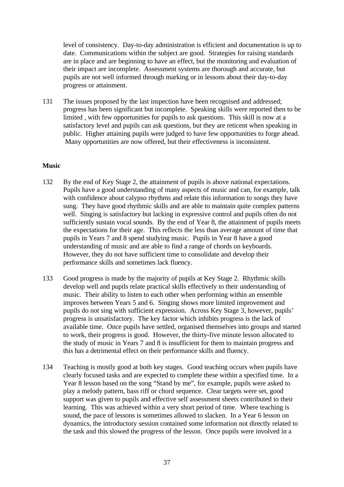level of consistency. Day-to-day administration is efficient and documentation is up to date. Communications within the subject are good. Strategies for raising standards are in place and are beginning to have an effect, but the monitoring and evaluation of their impact are incomplete. Assessment systems are thorough and accurate, but pupils are not well informed through marking or in lessons about their day-to-day progress or attainment.

131 The issues proposed by the last inspection have been recognised and addressed; progress has been significant but incomplete. Speaking skills were reported then to be limited , with few opportunities for pupils to ask questions. This skill is now at a satisfactory level and pupils can ask questions, but they are reticent when speaking in public. Higher attaining pupils were judged to have few opportunities to forge ahead. Many opportunities are now offered, but their effectiveness is inconsistent.

## **Music**

- 132 By the end of Key Stage 2, the attainment of pupils is above national expectations. Pupils have a good understanding of many aspects of music and can, for example, talk with confidence about calypso rhythms and relate this information to songs they have sung. They have good rhythmic skills and are able to maintain quite complex patterns well. Singing is satisfactory but lacking in expressive control and pupils often do not sufficiently sustain vocal sounds. By the end of Year 8, the attainment of pupils meets the expectations for their age. This reflects the less than average amount of time that pupils in Years 7 and 8 spend studying music. Pupils in Year 8 have a good understanding of music and are able to find a range of chords on keyboards. However, they do not have sufficient time to consolidate and develop their performance skills and sometimes lack fluency.
- 133 Good progress is made by the majority of pupils at Key Stage 2. Rhythmic skills develop well and pupils relate practical skills effectively to their understanding of music. Their ability to listen to each other when performing within an ensemble improves between Years 5 and 6. Singing shows more limited improvement and pupils do not sing with sufficient expression. Across Key Stage 3, however, pupils' progress is unsatisfactory. The key factor which inhibits progress is the lack of available time. Once pupils have settled, organised themselves into groups and started to work, their progress is good. However, the thirty-five minute lesson allocated to the study of music in Years 7 and 8 is insufficient for them to maintain progress and this has a detrimental effect on their performance skills and fluency.
- 134 Teaching is mostly good at both key stages. Good teaching occurs when pupils have clearly focused tasks and are expected to complete these within a specified time. In a Year 8 lesson based on the song "Stand by me", for example, pupils were asked to play a melody pattern, bass riff or chord sequence. Clear targets were set, good support was given to pupils and effective self assessment sheets contributed to their learning. This was achieved within a very short period of time. Where teaching is sound, the pace of lessons is sometimes allowed to slacken. In a Year 6 lesson on dynamics, the introductory session contained some information not directly related to the task and this slowed the progress of the lesson. Once pupils were involved in a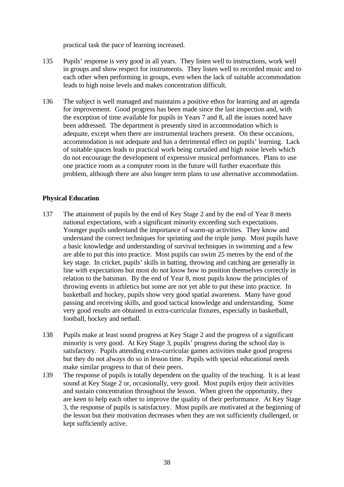practical task the pace of learning increased.

- 135 Pupils' response is very good in all years. They listen well to instructions, work well in groups and show respect for instruments. They listen well to recorded music and to each other when performing in groups, even when the lack of suitable accommodation leads to high noise levels and makes concentration difficult.
- 136 The subject is well managed and maintains a positive ethos for learning and an agenda for improvement. Good progress has been made since the last inspection and, with the exception of time available for pupils in Years 7 and 8, all the issues noted have been addressed. The department is presently sited in accommodation which is adequate, except when there are instrumental teachers present. On these occasions, accommodation is not adequate and has a detrimental effect on pupils' learning. Lack of suitable spaces leads to practical work being curtailed and high noise levels which do not encourage the development of expressive musical performances. Plans to use one practice room as a computer room in the future will further exacerbate this problem, although there are also longer term plans to use alternative accommodation.

## **Physical Education**

- 137 The attainment of pupils by the end of Key Stage 2 and by the end of Year 8 meets national expectations, with a significant minority exceeding such expectations. Younger pupils understand the importance of warm-up activities. They know and understand the correct techniques for sprinting and the triple jump. Most pupils have a basic knowledge and understanding of survival techniques in swimming and a few are able to put this into practice. Most pupils can swim 25 metres by the end of the key stage. In cricket, pupils' skills in batting, throwing and catching are generally in line with expectations but most do not know how to position themselves correctly in relation to the batsman. By the end of Year 8, most pupils know the principles of throwing events in athletics but some are not yet able to put these into practice. In basketball and hockey, pupils show very good spatial awareness. Many have good passing and receiving skills, and good tactical knowledge and understanding. Some very good results are obtained in extra-curricular fixtures, especially in basketball, football, hockey and netball.
- 138 Pupils make at least sound progress at Key Stage 2 and the progress of a significant minority is very good. At Key Stage 3, pupils' progress during the school day is satisfactory. Pupils attending extra-curricular games activities make good progress but they do not always do so in lesson time. Pupils with special educational needs make similar progress to that of their peers.
- 139 The response of pupils is totally dependent on the quality of the teaching. It is at least sound at Key Stage 2 or, occasionally, very good. Most pupils enjoy their activities and sustain concentration throughout the lesson. When given the opportunity, they are keen to help each other to improve the quality of their performance. At Key Stage 3, the response of pupils is satisfactory. Most pupils are motivated at the beginning of the lesson but their motivation decreases when they are not sufficiently challenged, or kept sufficiently active.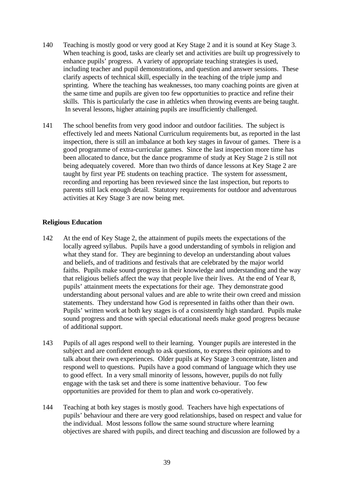- 140 Teaching is mostly good or very good at Key Stage 2 and it is sound at Key Stage 3. When teaching is good, tasks are clearly set and activities are built up progressively to enhance pupils' progress. A variety of appropriate teaching strategies is used, including teacher and pupil demonstrations, and question and answer sessions. These clarify aspects of technical skill, especially in the teaching of the triple jump and sprinting. Where the teaching has weaknesses, too many coaching points are given at the same time and pupils are given too few opportunities to practice and refine their skills. This is particularly the case in athletics when throwing events are being taught. In several lessons, higher attaining pupils are insufficiently challenged.
- 141 The school benefits from very good indoor and outdoor facilities. The subject is effectively led and meets National Curriculum requirements but, as reported in the last inspection, there is still an imbalance at both key stages in favour of games. There is a good programme of extra-curricular games. Since the last inspection more time has been allocated to dance, but the dance programme of study at Key Stage 2 is still not being adequately covered. More than two thirds of dance lessons at Key Stage 2 are taught by first year PE students on teaching practice. The system for assessment, recording and reporting has been reviewed since the last inspection, but reports to parents still lack enough detail. Statutory requirements for outdoor and adventurous activities at Key Stage 3 are now being met.

## **Religious Education**

- 142 At the end of Key Stage 2, the attainment of pupils meets the expectations of the locally agreed syllabus. Pupils have a good understanding of symbols in religion and what they stand for. They are beginning to develop an understanding about values and beliefs, and of traditions and festivals that are celebrated by the major world faiths. Pupils make sound progress in their knowledge and understanding and the way that religious beliefs affect the way that people live their lives. At the end of Year 8, pupils' attainment meets the expectations for their age. They demonstrate good understanding about personal values and are able to write their own creed and mission statements. They understand how God is represented in faiths other than their own. Pupils' written work at both key stages is of a consistently high standard. Pupils make sound progress and those with special educational needs make good progress because of additional support.
- 143 Pupils of all ages respond well to their learning. Younger pupils are interested in the subject and are confident enough to ask questions, to express their opinions and to talk about their own experiences. Older pupils at Key Stage 3 concentrate, listen and respond well to questions. Pupils have a good command of language which they use to good effect. In a very small minority of lessons, however, pupils do not fully engage with the task set and there is some inattentive behaviour. Too few opportunities are provided for them to plan and work co-operatively.
- 144 Teaching at both key stages is mostly good. Teachers have high expectations of pupils' behaviour and there are very good relationships, based on respect and value for the individual. Most lessons follow the same sound structure where learning objectives are shared with pupils, and direct teaching and discussion are followed by a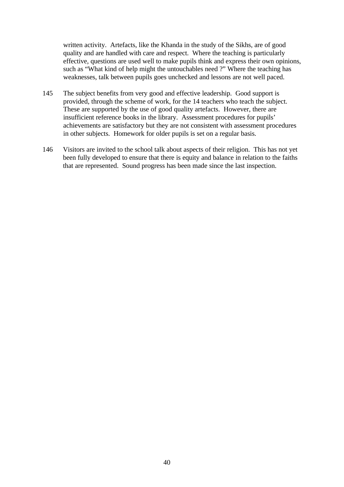written activity. Artefacts, like the Khanda in the study of the Sikhs, are of good quality and are handled with care and respect. Where the teaching is particularly effective, questions are used well to make pupils think and express their own opinions, such as "What kind of help might the untouchables need ?" Where the teaching has weaknesses, talk between pupils goes unchecked and lessons are not well paced.

- 145 The subject benefits from very good and effective leadership. Good support is provided, through the scheme of work, for the 14 teachers who teach the subject. These are supported by the use of good quality artefacts. However, there are insufficient reference books in the library. Assessment procedures for pupils' achievements are satisfactory but they are not consistent with assessment procedures in other subjects. Homework for older pupils is set on a regular basis.
- 146 Visitors are invited to the school talk about aspects of their religion. This has not yet been fully developed to ensure that there is equity and balance in relation to the faiths that are represented. Sound progress has been made since the last inspection.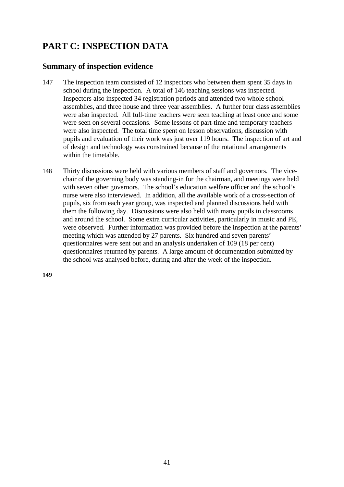# **PART C: INSPECTION DATA**

# **Summary of inspection evidence**

- 147 The inspection team consisted of 12 inspectors who between them spent 35 days in school during the inspection. A total of 146 teaching sessions was inspected. Inspectors also inspected 34 registration periods and attended two whole school assemblies, and three house and three year assemblies. A further four class assemblies were also inspected. All full-time teachers were seen teaching at least once and some were seen on several occasions. Some lessons of part-time and temporary teachers were also inspected. The total time spent on lesson observations, discussion with pupils and evaluation of their work was just over 119 hours. The inspection of art and of design and technology was constrained because of the rotational arrangements within the timetable.
- 148 Thirty discussions were held with various members of staff and governors. The vicechair of the governing body was standing-in for the chairman, and meetings were held with seven other governors. The school's education welfare officer and the school's nurse were also interviewed. In addition, all the available work of a cross-section of pupils, six from each year group, was inspected and planned discussions held with them the following day. Discussions were also held with many pupils in classrooms and around the school. Some extra curricular activities, particularly in music and PE, were observed. Further information was provided before the inspection at the parents' meeting which was attended by 27 parents. Six hundred and seven parents' questionnaires were sent out and an analysis undertaken of 109 (18 per cent) questionnaires returned by parents. A large amount of documentation submitted by the school was analysed before, during and after the week of the inspection.

**149**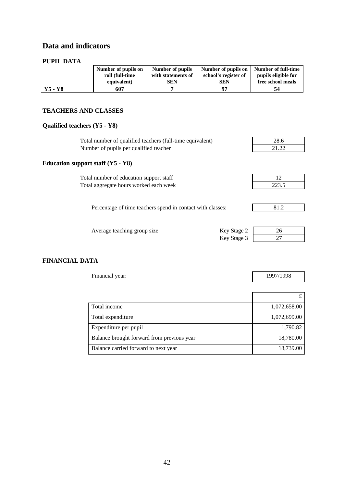# **Data and indicators**

#### **PUPIL DATA**

| PUPIL DATA |                     |                    |                      |                     |
|------------|---------------------|--------------------|----------------------|---------------------|
|            | Number of pupils on | Number of pupils   | Number of pupils on  | Number of full-time |
|            | roll (full-time     | with statements of | school's register of | pupils eligible for |
|            | equivalent)         | <b>SEN</b>         | <b>SEN</b>           | free school meals   |
| $Y5 - Y8$  | 607                 |                    | 97                   | 54                  |

#### **TEACHERS AND CLASSES**

# **Qualified teachers (Y5 - Y8)**

| Total number of qualified teachers (full-time equivalent)  | 28.6  |
|------------------------------------------------------------|-------|
| Number of pupils per qualified teacher                     | 21.22 |
| Education support staff $(Y5 - Y8)$                        |       |
| Total number of education support staff                    | 12    |
| Total aggregate hours worked each week                     | 223.5 |
|                                                            |       |
| Percentage of time teachers spend in contact with classes: | 81.2  |
|                                                            |       |
| Key Stage 2<br>Average teaching group size                 | 26    |
| Key Stage 3                                                | 27    |

 $\overline{ }$ 

### **FINANCIAL DATA**

| Financial year: | 1997/1998 |
|-----------------|-----------|
|                 |           |

| Total income                               | 1,072,658.00 |
|--------------------------------------------|--------------|
| Total expenditure                          | 1,072,699.00 |
| Expenditure per pupil                      | 1,790.82     |
| Balance brought forward from previous year | 18,780.00    |
| Balance carried forward to next year       | 18,739.00    |